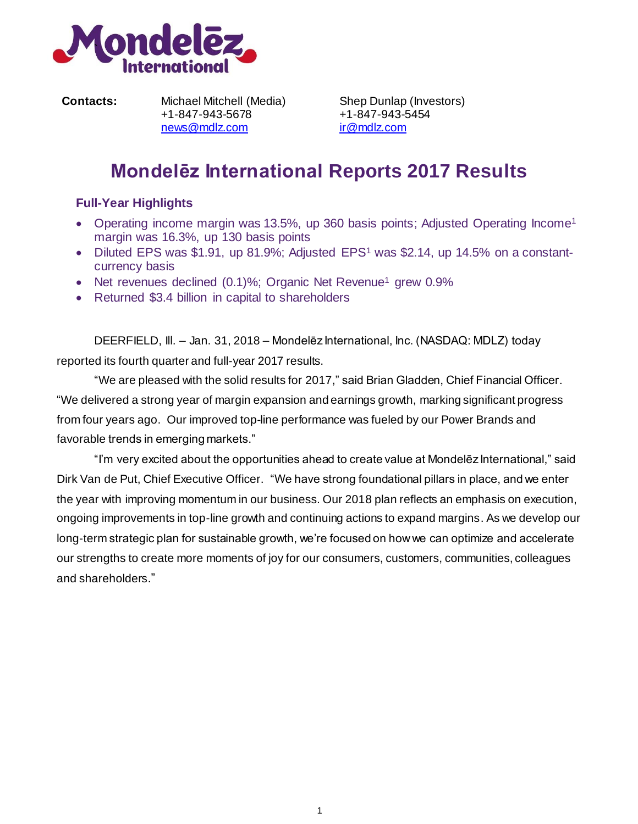

**Contacts:** Michael Mitchell (Media) Shep Dunlap (Investors) +1-847-943-5678 +1-847-943-5454 [news@mdlz.com](mailto:news@mdlz.com) [ir@mdlz.com](mailto:ir@mdlz.com)

# **Mondelēz International Reports 2017 Results**

# **Full-Year Highlights**

- Operating income margin was 13.5%, up 360 basis points; Adjusted Operating Income<sup>1</sup> margin was 16.3%, up 130 basis points
- Diluted EPS was \$1.91, up 81.9%; Adjusted EPS<sup>1</sup> was \$2.14, up 14.5% on a constantcurrency basis
- Net revenues declined (0.1)%; Organic Net Revenue<sup>1</sup> grew 0.9%
- Returned \$3.4 billion in capital to shareholders

DEERFIELD, Ill. – Jan. 31, 2018 – Mondelēz International, Inc. (NASDAQ: MDLZ) today reported its fourth quarter and full-year 2017 results.

"We are pleased with the solid results for 2017," said Brian Gladden, Chief Financial Officer. "We delivered a strong year of margin expansion and earnings growth, marking significant progress from four years ago. Our improved top-line performance was fueled by our Power Brands and favorable trends in emerging markets."

"I'm very excited about the opportunities ahead to create value at Mondelēz International," said Dirk Van de Put, Chief Executive Officer. "We have strong foundational pillars in place, and we enter the year with improving momentum in our business. Our 2018 plan reflects an emphasis on execution, ongoing improvements in top-line growth and continuing actions to expand margins. As we develop our long-term strategic plan for sustainable growth, we're focused on how we can optimize and accelerate our strengths to create more moments of joy for our consumers, customers, communities, colleagues and shareholders."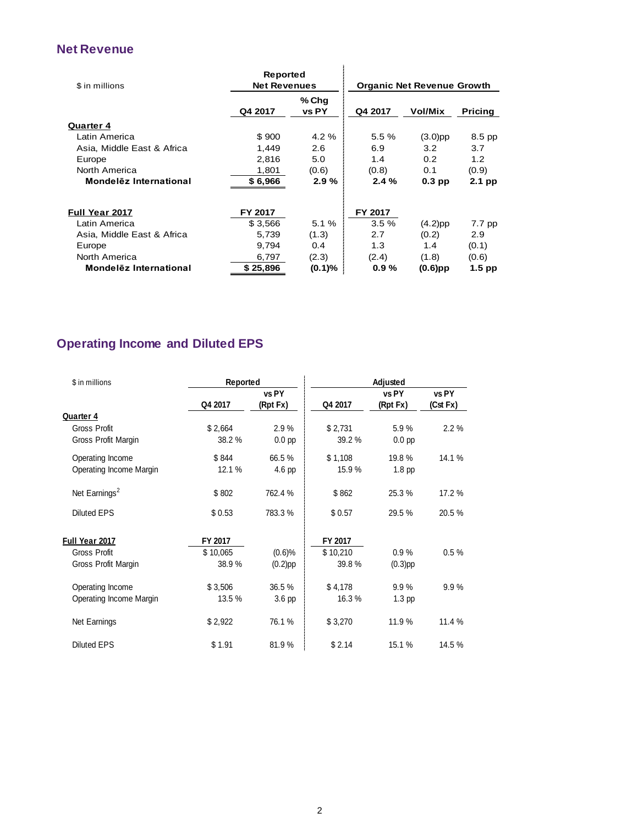# **Net Revenue**

| \$ in millions             | Reported<br><b>Net Revenues</b> |                  |         | <b>Organic Net Revenue Growth</b> |                |
|----------------------------|---------------------------------|------------------|---------|-----------------------------------|----------------|
|                            | Q4 2017                         | $%$ Chg<br>vs PY | Q4 2017 | Vol/Mix                           | <b>Pricing</b> |
| <b>Quarter 4</b>           |                                 |                  |         |                                   |                |
| Latin America              | \$900                           | 4.2%             | 5.5%    | $(3.0)$ pp                        | 8.5 pp         |
| Asia, Middle East & Africa | 1,449                           | 2.6              | 6.9     | 3.2                               | 3.7            |
| Europe                     | 2,816                           | 5.0              | 1.4     | $0.2^{\circ}$                     | 1.2            |
| North America              | 1,801                           | (0.6)            | (0.8)   | 0.1                               | (0.9)          |
| Mondelez International     | \$6,966                         | 2.9%             | 2.4%    | $0.3$ pp                          | $2.1$ pp       |
| <b>Full Year 2017</b>      | FY 2017                         |                  | FY 2017 |                                   |                |
| Latin America              | \$3,566                         | 5.1%             | 3.5%    | $(4.2)$ pp                        | 7.7 pp         |
| Asia, Middle East & Africa | 5,739                           | (1.3)            | 2.7     | (0.2)                             | 2.9            |
| Europe                     | 9.794                           | 0.4              | 1.3     | 1.4                               | (0.1)          |
| North America              | 6,797                           | (2.3)            | (2.4)   | (1.8)                             | (0.6)          |
| Mondelez International     | \$25,896                        | (0.1)%           | 0.9%    | $(0.6)$ pp                        | $1.5$ pp       |

# **Operating Income and Diluted EPS**

| \$ in millions            | Reported |            |          | Adjusted   |          |
|---------------------------|----------|------------|----------|------------|----------|
|                           |          | vs PY      |          | vs PY      | vs PY    |
|                           | Q4 2017  | (Rpt Fx)   | Q4 2017  | (Rpt Fx)   | (Cst Fx) |
| <b>Quarter 4</b>          |          |            |          |            |          |
| Gross Profit              | \$2,664  | 2.9%       | \$2,731  | 5.9%       | 2.2%     |
| Gross Profit Margin       | 38.2 %   | $0.0$ pp   | 39.2 %   | $0.0$ pp   |          |
| Operating Income          | \$844    | 66.5%      | \$1,108  | 19.8%      | 14.1 %   |
| Operating Income Margin   | 12.1 %   | 4.6 pp     | 15.9%    | $1.8$ pp   |          |
| Net Earnings <sup>2</sup> | \$802    | 762.4 %    | \$862    | 25.3%      | 17.2 %   |
| <b>Diluted EPS</b>        | \$0.53   | 783.3%     | \$0.57   | 29.5 %     | 20.5 %   |
| Full Year 2017            | FY 2017  |            | FY 2017  |            |          |
| Gross Profit              | \$10,065 | (0.6)%     | \$10,210 | 0.9%       | 0.5%     |
| Gross Profit Margin       | 38.9%    | $(0.2)$ pp | 39.8%    | $(0.3)$ pp |          |
| Operating Income          | \$3,506  | 36.5%      | \$4,178  | 9.9%       | 9.9%     |
| Operating Income Margin   | 13.5 %   | 3.6 pp     | 16.3%    | $1.3$ pp   |          |
| Net Earnings              | \$2,922  | 76.1%      | \$3,270  | 11.9%      | 11.4 %   |
| <b>Diluted EPS</b>        | \$1.91   | 81.9%      | \$2.14   | 15.1 %     | 14.5 %   |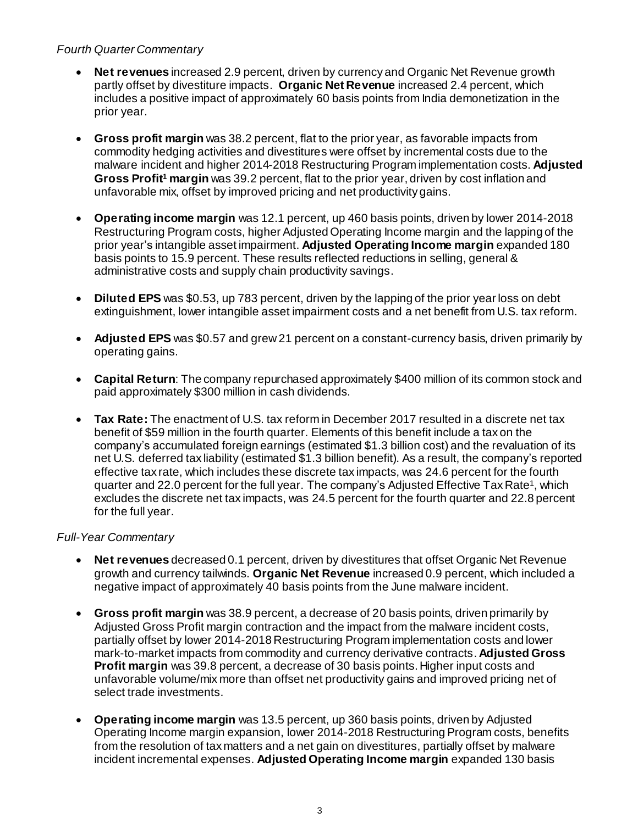## *Fourth Quarter Commentary*

- **Net revenues** increased 2.9 percent, driven by currency and Organic Net Revenue growth partly offset by divestiture impacts. **Organic Net Revenue** increased 2.4 percent, which includes a positive impact of approximately 60 basis points from India demonetization in the prior year.
- **Gross profit margin** was 38.2 percent, flat to the prior year, as favorable impacts from commodity hedging activities and divestitures were offset by incremental costs due to the malware incident and higher 2014-2018 Restructuring Program implementation costs. **Adjusted Gross Profit<sup>1</sup> margin** was 39.2 percent, flat to the prior year, driven by cost inflation and unfavorable mix, offset by improved pricing and net productivity gains.
- **Operating income margin** was 12.1 percent, up 460 basis points, driven by lower 2014-2018 Restructuring Program costs, higher Adjusted Operating Income margin and the lapping of the prior year's intangible asset impairment. **Adjusted Operating Income margin** expanded 180 basis points to 15.9 percent. These results reflected reductions in selling, general & administrative costs and supply chain productivity savings.
- **Diluted EPS** was \$0.53, up 783 percent, driven by the lapping of the prior year loss on debt extinguishment, lower intangible asset impairment costs and a net benefit from U.S. tax reform.
- **Adjusted EPS** was \$0.57 and grew 21 percent on a constant-currency basis, driven primarily by operating gains.
- **Capital Return**: The company repurchased approximately \$400 million of its common stock and paid approximately \$300 million in cash dividends.
- **Tax Rate:** The enactment of U.S. tax reform in December 2017 resulted in a discrete net tax benefit of \$59 million in the fourth quarter. Elements of this benefit include a tax on the company's accumulated foreign earnings (estimated \$1.3 billion cost) and the revaluation of its net U.S. deferred tax liability (estimated \$1.3 billion benefit). As a result, the company's reported effective tax rate, which includes these discrete tax impacts, was 24.6 percent for the fourth quarter and 22.0 percent for the full year. The company's Adjusted Effective Tax Rate<sup>1</sup>, which excludes the discrete net tax impacts, was 24.5 percent for the fourth quarter and 22.8 percent for the full year.

### *Full-Year Commentary*

- **Net revenues** decreased 0.1 percent, driven by divestitures that offset Organic Net Revenue growth and currency tailwinds. **Organic Net Revenue** increased 0.9 percent, which included a negative impact of approximately 40 basis points from the June malware incident.
- **Gross profit margin** was 38.9 percent, a decrease of 20 basis points, driven primarily by Adjusted Gross Profit margin contraction and the impact from the malware incident costs, partially offset by lower 2014-2018 Restructuring Program implementation costs and lower mark-to-market impacts from commodity and currency derivative contracts. **Adjusted Gross Profit margin** was 39.8 percent, a decrease of 30 basis points. Higher input costs and unfavorable volume/mix more than offset net productivity gains and improved pricing net of select trade investments.
- **Operating income margin** was 13.5 percent, up 360 basis points, driven by Adjusted Operating Income margin expansion, lower 2014-2018 Restructuring Program costs, benefits from the resolution of tax matters and a net gain on divestitures, partially offset by malware incident incremental expenses. **Adjusted Operating Income margin** expanded 130 basis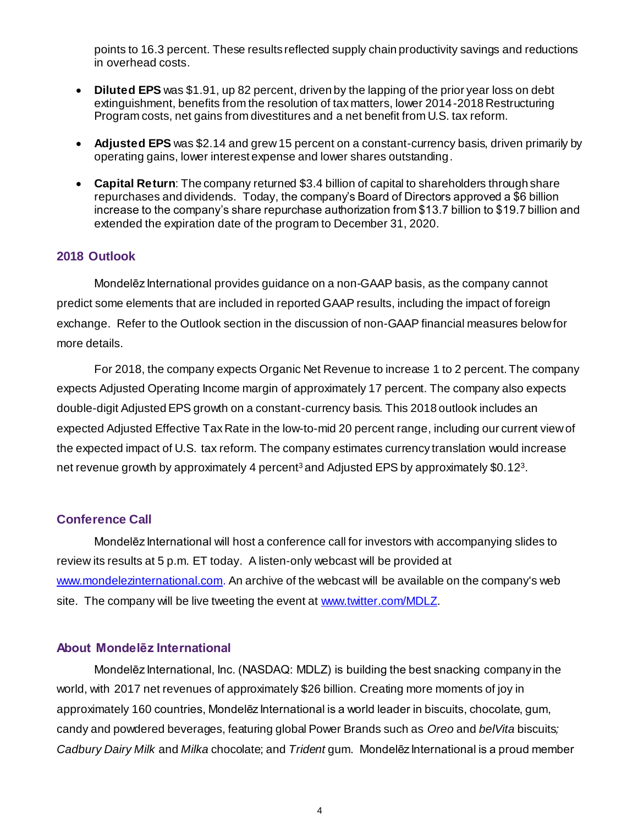points to 16.3 percent. These results reflected supply chain productivity savings and reductions in overhead costs.

- **Diluted EPS** was \$1.91, up 82 percent, driven by the lapping of the prior year loss on debt extinguishment, benefits from the resolution of tax matters, lower 2014-2018 Restructuring Program costs, net gains from divestitures and a net benefit from U.S. tax reform.
- **Adjusted EPS** was \$2.14 and grew 15 percent on a constant-currency basis, driven primarily by operating gains, lower interest expense and lower shares outstanding.
- **Capital Return**: The company returned \$3.4 billion of capital to shareholders through share repurchases and dividends. Today, the company's Board of Directors approved a \$6 billion increase to the company's share repurchase authorization from \$13.7 billion to \$19.7 billion and extended the expiration date of the program to December 31, 2020.

### **2018 Outlook**

Mondelēz International provides guidance on a non-GAAP basis, as the company cannot predict some elements that are included in reported GAAP results, including the impact of foreign exchange. Refer to the Outlook section in the discussion of non-GAAP financial measures below for more details.

For 2018, the company expects Organic Net Revenue to increase 1 to 2 percent. The company expects Adjusted Operating Income margin of approximately 17 percent. The company also expects double-digit Adjusted EPS growth on a constant-currency basis. This 2018 outlook includes an expected Adjusted Effective Tax Rate in the low-to-mid 20 percent range, including our current view of the expected impact of U.S. tax reform. The company estimates currency translation would increase net revenue growth by approximately 4 percent<sup>3</sup> and Adjusted EPS by approximately \$0.12<sup>3</sup>.

### **Conference Call**

Mondelēz International will host a conference call for investors with accompanying slides to review its results at 5 p.m. ET today. A listen-only webcast will be provided at [www.mondelezinternational.com.](http://www.mondelezinternational.com/) An archive of the webcast will be available on the company's web site. The company will be live tweeting the event a[t www.twitter.com/MDLZ.](http://www.twitter.com/MDLZ)

### **About Mondelēz International**

Mondelēz International, Inc. (NASDAQ: MDLZ) is building the best snacking company in the world, with 2017 net revenues of approximately \$26 billion. Creating more moments of joy in approximately 160 countries, Mondelēz International is a world leader in biscuits, chocolate, gum, candy and powdered beverages, featuring global Power Brands such as *Oreo* and *belVita* biscuits*; Cadbury Dairy Milk* and *Milka* chocolate; and *Trident* gum. Mondelēz International is a proud member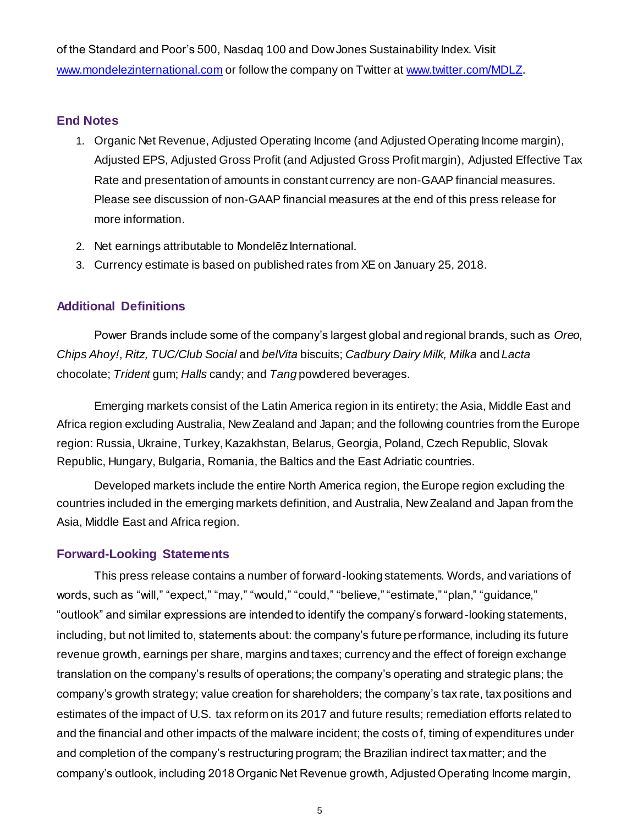of the Standard and Poor's 500, Nasdaq 100 and Dow Jones Sustainability Index. Visit [www.mondelezinternational.com](http://www.mondelezinternational.com/) or follow the company on Twitter a[t www.twitter.com/MDLZ](http://www.twitter.com/MDLZ).

## **End Notes**

- 1. Organic Net Revenue, Adjusted Operating Income (and Adjusted Operating Income margin), Adjusted EPS, Adjusted Gross Profit (and Adjusted Gross Profit margin), Adjusted Effective Tax Rate and presentation of amounts in constant currency are non-GAAP financial measures. Please see discussion of non-GAAP financial measures at the end of this press release for more information.
- 2. Net earnings attributable to Mondelēz International.
- 3. Currency estimate is based on published rates from XE on January 25, 2018.

# **Additional Definitions**

Power Brands include some of the company's largest global and regional brands, such as *Oreo*, *Chips Ahoy!*, *Ritz, TUC/Club Social* and *belVita* biscuits; *Cadbury Dairy Milk, Milka* and *Lacta* chocolate; *Trident* gum; *Halls* candy; and *Tang* powdered beverages.

Emerging markets consist of the Latin America region in its entirety; the Asia, Middle East and Africa region excluding Australia, New Zealand and Japan; and the following countries from the Europe region: Russia, Ukraine, Turkey, Kazakhstan, Belarus, Georgia, Poland, Czech Republic, Slovak Republic, Hungary, Bulgaria, Romania, the Baltics and the East Adriatic countries.

Developed markets include the entire North America region, the Europe region excluding the countries included in the emerging markets definition, and Australia, New Zealand and Japan from the Asia, Middle East and Africa region.

# **Forward-Looking Statements**

This press release contains a number of forward-looking statements. Words, and variations of words, such as "will," "expect," "may," "would," "could," "believe," "estimate," "plan," "guidance," "outlook" and similar expressions are intended to identify the company's forward-looking statements, including, but not limited to, statements about: the company's future performance, including its future revenue growth, earnings per share, margins and taxes; currency and the effect of foreign exchange translation on the company's results of operations; the company's operating and strategic plans; the company's growth strategy; value creation for shareholders; the company's tax rate, tax positions and estimates of the impact of U.S. tax reform on its 2017 and future results; remediation efforts related to and the financial and other impacts of the malware incident; the costs of, timing of expenditures under and completion of the company's restructuring program; the Brazilian indirect tax matter; and the company's outlook, including 2018 Organic Net Revenue growth, Adjusted Operating Income margin,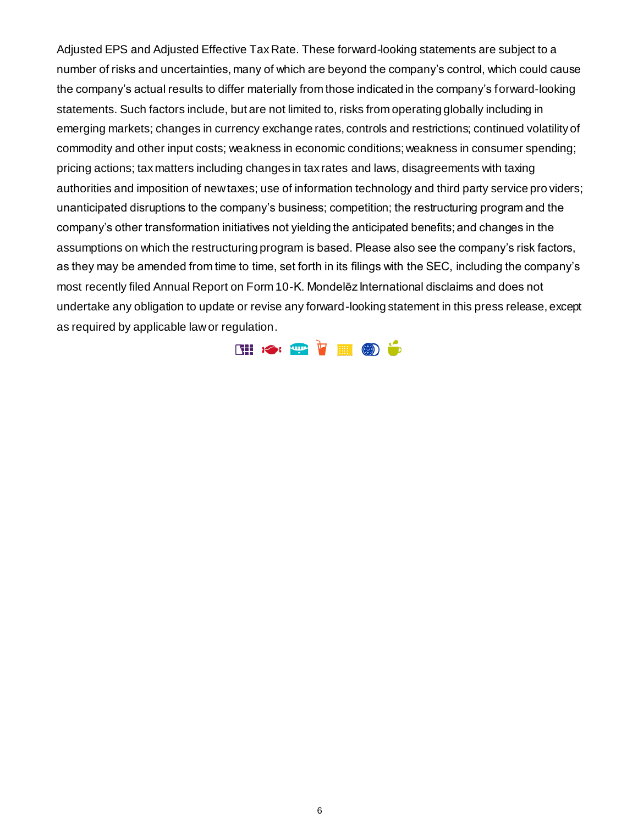Adjusted EPS and Adjusted Effective Tax Rate. These forward-looking statements are subject to a number of risks and uncertainties, many of which are beyond the company's control, which could cause the company's actual results to differ materially from those indicated in the company's forward-looking statements. Such factors include, but are not limited to, risks from operating globally including in emerging markets; changes in currency exchange rates, controls and restrictions; continued volatility of commodity and other input costs; weakness in economic conditions; weakness in consumer spending; pricing actions; tax matters including changes in tax rates and laws, disagreements with taxing authorities and imposition of new taxes; use of information technology and third party service pro viders; unanticipated disruptions to the company's business; competition; the restructuring program and the company's other transformation initiatives not yielding the anticipated benefits; and changes in the assumptions on which the restructuring program is based. Please also see the company's risk factors, as they may be amended from time to time, set forth in its filings with the SEC, including the company's most recently filed Annual Report on Form 10-K. Mondelēz International disclaims and does not undertake any obligation to update or revise any forward-looking statement in this press release, except as required by applicable law or regulation.

**SHORTHOUT**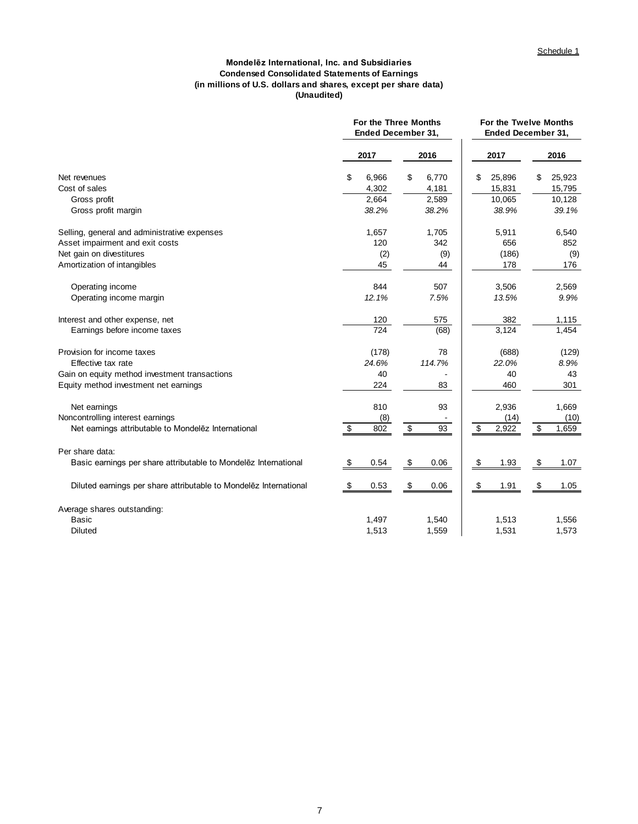#### **Mondelēz International, Inc. and Subsidiaries Condensed Consolidated Statements of Earnings (in millions of U.S. dollars and shares, except per share data) (Unaudited)**

|                                                                   | For the Three Months<br><b>Ended December 31.</b> | For the Twelve Months<br>Ended December 31, |              |    |        |
|-------------------------------------------------------------------|---------------------------------------------------|---------------------------------------------|--------------|----|--------|
|                                                                   | 2017                                              | 2016                                        | 2017         |    | 2016   |
| Net revenues                                                      | \$<br>6,966                                       | \$<br>6,770                                 | \$<br>25,896 | \$ | 25,923 |
| Cost of sales                                                     | 4,302                                             | 4,181                                       | 15,831       |    | 15,795 |
| Gross profit                                                      | 2,664                                             | 2,589                                       | 10,065       |    | 10,128 |
| Gross profit margin                                               | 38.2%                                             | 38.2%                                       | 38.9%        |    | 39.1%  |
| Selling, general and administrative expenses                      | 1,657                                             | 1,705                                       | 5,911        |    | 6,540  |
| Asset impairment and exit costs                                   |                                                   | 120<br>342                                  | 656          |    | 852    |
| Net gain on divestitures                                          |                                                   | (2)<br>(9)                                  | (186)        |    | (9)    |
| Amortization of intangibles                                       |                                                   | 45<br>44                                    | 178          |    | 176    |
| Operating income                                                  |                                                   | 844<br>507                                  | 3,506        |    | 2,569  |
| Operating income margin                                           | 12.1%                                             | 7.5%                                        | 13.5%        |    | 9.9%   |
| Interest and other expense, net                                   |                                                   | 575<br>120                                  | 382          |    | 1,115  |
| Earnings before income taxes                                      |                                                   | 724<br>(68)                                 | 3,124        |    | 1,454  |
| Provision for income taxes                                        |                                                   | 78<br>(178)                                 | (688)        |    | (129)  |
| Effective tax rate                                                | 24.6%                                             | 114.7%                                      | 22.0%        |    | 8.9%   |
| Gain on equity method investment transactions                     |                                                   | 40                                          | 40           |    | 43     |
| Equity method investment net earnings                             |                                                   | 224<br>83                                   | 460          |    | 301    |
| Net earnings                                                      |                                                   | 810<br>93                                   | 2,936        |    | 1,669  |
| Noncontrolling interest earnings                                  |                                                   | (8)                                         | (14)         |    | (10)   |
| Net earnings attributable to Mondelez International               | \$                                                | \$<br>802<br>93                             | \$<br>2,922  | \$ | 1,659  |
| Per share data:                                                   |                                                   |                                             |              |    |        |
| Basic earnings per share attributable to Mondelez International   | 0.54<br>\$                                        | \$<br>0.06                                  | \$<br>1.93   | \$ | 1.07   |
| Diluted earnings per share attributable to Mondelez International | 0.53<br>\$                                        | \$<br>0.06                                  | \$<br>1.91   | \$ | 1.05   |
| Average shares outstanding:                                       |                                                   |                                             |              |    |        |
| <b>Basic</b>                                                      | 1,497                                             | 1,540                                       | 1,513        |    | 1,556  |
| <b>Diluted</b>                                                    | 1,513                                             | 1,559                                       | 1,531        |    | 1,573  |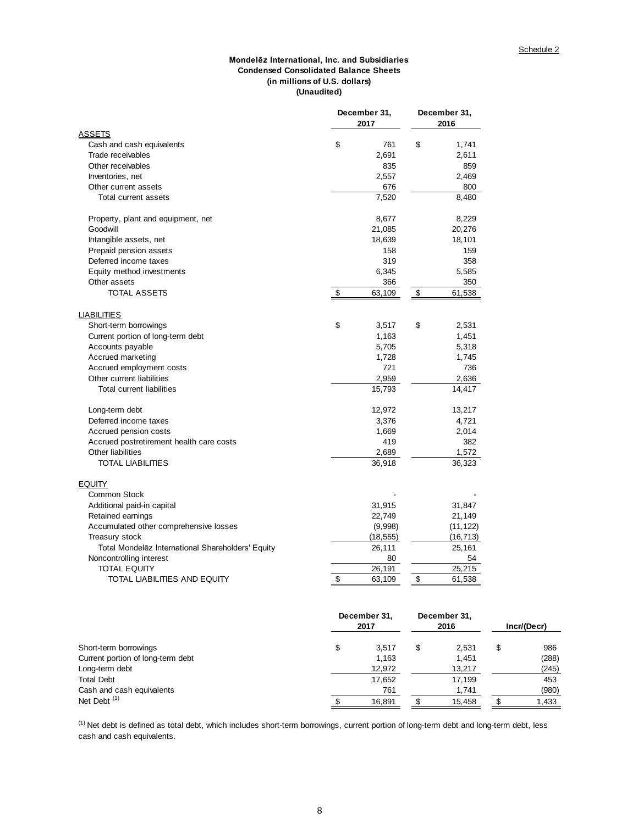#### **Mondelēz International, Inc. and Subsidiaries Condensed Consolidated Balance Sheets (in millions of U.S. dollars) (Unaudited)**

|                                                   | December 31,<br>2017 | December 31,<br>2016 |           |  |
|---------------------------------------------------|----------------------|----------------------|-----------|--|
| <u>ASSETS</u>                                     |                      |                      |           |  |
| Cash and cash equivalents                         | \$<br>761            | \$                   | 1,741     |  |
| Trade receivables                                 | 2,691                |                      | 2,611     |  |
| Other receivables                                 | 835                  |                      | 859       |  |
| Inventories, net                                  | 2,557                |                      | 2,469     |  |
| Other current assets                              | 676                  |                      | 800       |  |
| Total current assets                              | 7,520                |                      | 8,480     |  |
| Property, plant and equipment, net                | 8,677                |                      | 8,229     |  |
| Goodwill                                          | 21,085               |                      | 20,276    |  |
| Intangible assets, net                            | 18,639               |                      | 18,101    |  |
| Prepaid pension assets                            | 158                  |                      | 159       |  |
| Deferred income taxes                             | 319                  |                      | 358       |  |
| Equity method investments                         | 6,345                |                      | 5,585     |  |
| Other assets                                      | 366                  |                      | 350       |  |
| <b>TOTAL ASSETS</b>                               | \$<br>63,109         | \$                   | 61,538    |  |
| <b>LIABILITIES</b>                                |                      |                      |           |  |
| Short-term borrowings                             | \$<br>3,517          | \$                   | 2,531     |  |
| Current portion of long-term debt                 | 1,163                |                      | 1,451     |  |
| Accounts payable                                  | 5,705                |                      | 5,318     |  |
| Accrued marketing                                 | 1,728                |                      | 1,745     |  |
| Accrued employment costs                          | 721                  |                      | 736       |  |
| Other current liabilities                         | 2,959                |                      | 2,636     |  |
| <b>Total current liabilities</b>                  | 15,793               |                      | 14,417    |  |
| Long-term debt                                    | 12,972               |                      | 13,217    |  |
| Deferred income taxes                             | 3,376                |                      | 4,721     |  |
| Accrued pension costs                             | 1,669                |                      | 2,014     |  |
| Accrued postretirement health care costs          | 419                  |                      | 382       |  |
| Other liabilities                                 | 2,689                |                      | 1,572     |  |
| <b>TOTAL LIABILITIES</b>                          | 36,918               |                      | 36,323    |  |
| <b>EQUITY</b>                                     |                      |                      |           |  |
| Common Stock                                      |                      |                      |           |  |
| Additional paid-in capital                        | 31,915               |                      | 31,847    |  |
| Retained earnings                                 | 22,749               |                      | 21,149    |  |
| Accumulated other comprehensive losses            | (9,998)              |                      | (11, 122) |  |
| Treasury stock                                    | (18, 555)            |                      | (16, 713) |  |
| Total Mondelez International Shareholders' Equity | 26,111               |                      | 25,161    |  |
| Noncontrolling interest                           | 80                   |                      | 54        |  |
| <b>TOTAL EQUITY</b>                               | 26,191               |                      | 25,215    |  |
| TOTAL LIABILITIES AND EQUITY                      | \$<br>63,109         | \$                   | 61,538    |  |

|                                   | December 31,<br>2017 |   | December 31,<br>2016 | Incr/(Decr) |
|-----------------------------------|----------------------|---|----------------------|-------------|
| Short-term borrowings             | \$<br>3.517          | S | 2.531                | \$<br>986   |
| Current portion of long-term debt | 1,163                |   | 1.451                | (288)       |
| Long-term debt                    | 12,972               |   | 13,217               | (245)       |
| <b>Total Debt</b>                 | 17,652               |   | 17.199               | 453         |
| Cash and cash equivalents         | 761                  |   | 1,741                | (980)       |
| Net Debt <sup>(1)</sup>           | 16,891               |   | 15,458               | 1,433       |

<sup>(1)</sup> Net debt is defined as total debt, which includes short-term borrowings, current portion of long-term debt and long-term debt, less cash and cash equivalents.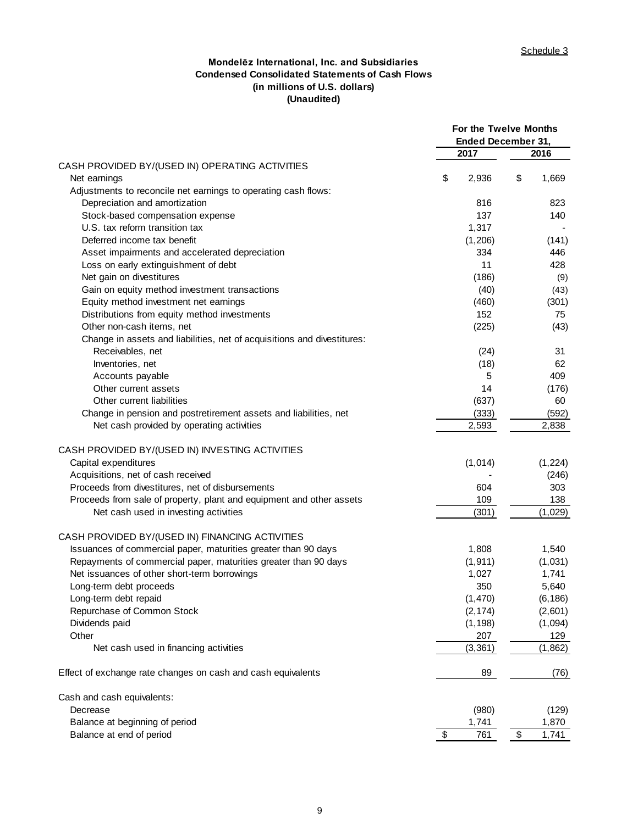#### **Mondelēz International, Inc. and Subsidiaries Condensed Consolidated Statements of Cash Flows (in millions of U.S. dollars) (Unaudited)**

|                                                                         | For the Twelve Months<br><b>Ended December 31,</b> |             |
|-------------------------------------------------------------------------|----------------------------------------------------|-------------|
|                                                                         | 2017                                               | 2016        |
| CASH PROVIDED BY/(USED IN) OPERATING ACTIVITIES                         |                                                    |             |
| Net earnings                                                            | \$<br>2,936                                        | \$<br>1,669 |
| Adjustments to reconcile net earnings to operating cash flows:          |                                                    |             |
| Depreciation and amortization                                           | 816                                                | 823         |
| Stock-based compensation expense                                        | 137                                                | 140         |
| U.S. tax reform transition tax                                          | 1,317                                              |             |
| Deferred income tax benefit                                             | (1,206)                                            | (141)       |
| Asset impairments and accelerated depreciation                          | 334                                                | 446         |
| Loss on early extinguishment of debt                                    | 11                                                 | 428         |
| Net gain on divestitures                                                | (186)                                              | (9)         |
| Gain on equity method investment transactions                           | (40)                                               | (43)        |
| Equity method investment net earnings                                   | (460)                                              | (301)       |
| Distributions from equity method investments                            | 152                                                | 75          |
| Other non-cash items, net                                               | (225)                                              | (43)        |
| Change in assets and liabilities, net of acquisitions and divestitures: |                                                    |             |
| Receivables, net                                                        | (24)                                               | 31          |
| Inventories, net                                                        | (18)                                               | 62          |
| Accounts payable                                                        | 5                                                  | 409         |
| Other current assets                                                    | 14                                                 | (176)       |
| Other current liabilities                                               | (637)                                              | 60          |
| Change in pension and postretirement assets and liabilities, net        | (333)                                              | (592)       |
| Net cash provided by operating activities                               | 2,593                                              | 2,838       |
| CASH PROVIDED BY/(USED IN) INVESTING ACTIVITIES                         |                                                    |             |
| Capital expenditures                                                    | (1,014)                                            | (1, 224)    |
| Acquisitions, net of cash received                                      |                                                    | (246)       |
| Proceeds from divestitures, net of disbursements                        | 604                                                | 303         |
| Proceeds from sale of property, plant and equipment and other assets    | 109                                                | 138         |
| Net cash used in investing activities                                   | (301)                                              | (1,029)     |
| CASH PROVIDED BY/(USED IN) FINANCING ACTIVITIES                         |                                                    |             |
| Issuances of commercial paper, maturities greater than 90 days          | 1,808                                              | 1,540       |
| Repayments of commercial paper, maturities greater than 90 days         | (1, 911)                                           | (1,031)     |
| Net issuances of other short-term borrowings                            | 1,027                                              | 1,741       |
| Long-term debt proceeds                                                 | 350                                                | 5,640       |
| Long-term debt repaid                                                   | (1, 470)                                           | (6, 186)    |
| Repurchase of Common Stock                                              | (2, 174)                                           | (2,601)     |
| Dividends paid                                                          | (1, 198)                                           | (1,094)     |
| Other                                                                   | 207                                                | 129         |
| Net cash used in financing activities                                   | (3, 361)                                           | (1,862)     |
| Effect of exchange rate changes on cash and cash equivalents            | 89                                                 | (76)        |
| Cash and cash equivalents:                                              |                                                    |             |
| Decrease                                                                | (980)                                              | (129)       |
| Balance at beginning of period                                          | 1,741                                              | 1,870       |
| Balance at end of period                                                | \$<br>761                                          | \$<br>1,741 |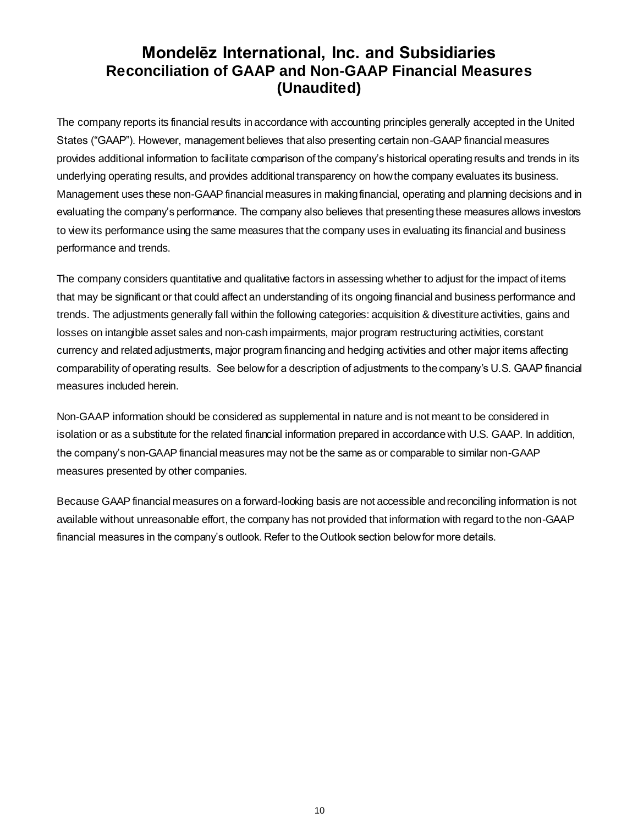# **Mondelēz International, Inc. and Subsidiaries Reconciliation of GAAP and Non-GAAP Financial Measures (Unaudited)**

The company reports its financial results in accordance with accounting principles generally accepted in the United States ("GAAP"). However, management believes that also presenting certain non-GAAP financial measures provides additional information to facilitate comparison of the company's historical operating results and trends in its underlying operating results, and provides additional transparency on how the company evaluates its business. Management uses these non-GAAP financial measures in making financial, operating and planning decisions and in evaluating the company's performance. The company also believes that presenting these measures allows investors to view its performance using the same measures that the company uses in evaluating its financial and business performance and trends.

The company considers quantitative and qualitative factors in assessing whether to adjust for the impact of items that may be significant or that could affect an understanding of its ongoing financial and business performance and trends. The adjustments generally fall within the following categories: acquisition & divestiture activities, gains and losses on intangible asset sales and non-cash impairments, major program restructuring activities, constant currency and related adjustments, major program financing and hedging activities and other major items affecting comparability of operating results. See below for a description of adjustments to the company's U.S. GAAP financial measures included herein.

Non-GAAP information should be considered as supplemental in nature and is not meant to be considered in isolation or as a substitute for the related financial information prepared in accordance with U.S. GAAP. In addition, the company's non-GAAP financial measures may not be the same as or comparable to similar non-GAAP measures presented by other companies.

Because GAAP financial measures on a forward-looking basis are not accessible and reconciling information is not available without unreasonable effort, the company has not provided that information with regard to the non-GAAP financial measures in the company's outlook. Refer to the Outlook section below for more details.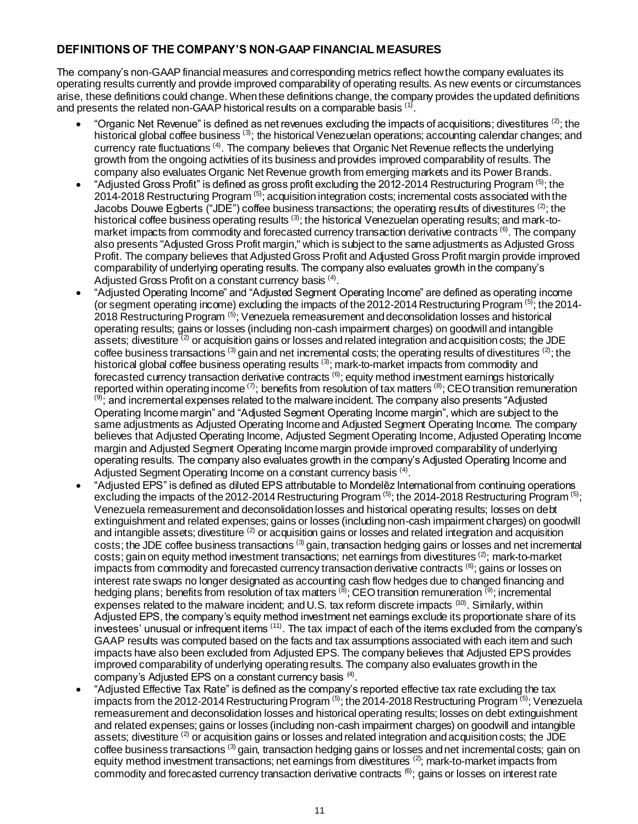## **DEFINITIONS OF THE COMPANY'S NON-GAAP FINANCIAL MEASURES**

The company's non-GAAP financial measures and corresponding metrics reflect how the company evaluates its operating results currently and provide improved comparability of operating results. As new events or circumstances arise, these definitions could change. When these definitions change, the company provides the updated definitions and presents the related non-GAAP historical results on a comparable basis  $^{(1)}$ .

- "Organic Net Revenue" is defined as net revenues excluding the impacts of acquisitions; divestitures  $(2)$ ; the historical global coffee business (3); the historical Venezuelan operations; accounting calendar changes; and currency rate fluctuations<sup>(4)</sup>. The company believes that Organic Net Revenue reflects the underlying growth from the ongoing activities of its business and provides improved comparability of results. The company also evaluates Organic Net Revenue growth from emerging markets and its Power Brands.
- "Adjusted Gross Profit" is defined as gross profit excluding the 2012-2014 Restructuring Program (5); the 2014-2018 Restructuring Program <sup>(5)</sup>; acquisition integration costs; incremental costs associated with the Jacobs Douwe Egberts ("JDE") coffee business transactions; the operating results of divestitures  $(2)$ ; the historical coffee business operating results (3); the historical Venezuelan operating results; and mark-tomarket impacts from commodity and forecasted currency transaction derivative contracts <sup>(6)</sup>. The company also presents "Adjusted Gross Profit margin," which is subject to the same adjustments as Adjusted Gross Profit. The company believes that Adjusted Gross Profit and Adjusted Gross Profit margin provide improved comparability of underlying operating results. The company also evaluates growth in the company's Adjusted Gross Profit on a constant currency basis (4).
- "Adjusted Operating Income" and "Adjusted Segment Operating Income" are defined as operating income (or segment operating income) excluding the impacts of the 2012-2014 Restructuring Program  $(5)$ ; the 2014-2018 Restructuring Program (5); Venezuela remeasurement and deconsolidation losses and historical operating results; gains or losses (including non-cash impairment charges) on goodwill and intangible assets; divestiture  $(2)$  or acquisition gains or losses and related integration and acquisition costs; the JDE coffee business transactions<sup>(3)</sup> gain and net incremental costs; the operating results of divestitures<sup>(2)</sup>; the historical global coffee business operating results  $(3)$ ; mark-to-market impacts from commodity and forecasted currency transaction derivative contracts <sup>(6)</sup>; equity method investment earnings historically reported within operating income<sup>(7)</sup>; benefits from resolution of tax matters <sup>(8)</sup>; CEO transition remuneration  $^{(9)}$ ; and incremental expenses related to the malware incident. The company also presents "Adjusted Operating Income margin" and "Adjusted Segment Operating Income margin", which are subject to the same adjustments as Adjusted Operating Income and Adjusted Segment Operating Income. The company believes that Adjusted Operating Income, Adjusted Segment Operating Income, Adjusted Operating Income margin and Adjusted Segment Operating Income margin provide improved comparability of underlying operating results. The company also evaluates growth in the company's Adjusted Operating Income and
	- Adjusted Segment Operating Income on a constant currency basis <sup>(4)</sup>.
- "Adjusted EPS" is defined as diluted EPS attributable to Mondelēz International from continuing operations excluding the impacts of the 2012-2014 Restructuring Program (5); the 2014-2018 Restructuring Program (5); Venezuela remeasurement and deconsolidation losses and historical operating results; losses on debt extinguishment and related expenses; gains or losses (including non-cash impairment charges) on goodwill and intangible assets; divestiture (2) or acquisition gains or losses and related integration and acquisition costs; the JDE coffee business transactions (3) gain, transaction hedging gains or losses and net incremental costs; gain on equity method investment transactions; net earnings from divestitures <sup>(2)</sup>; mark-to-market impacts from commodity and forecasted currency transaction derivative contracts <sup>(6)</sup>; gains or losses on interest rate swaps no longer designated as accounting cash flow hedges due to changed financing and hedging plans; benefits from resolution of tax matters (8); CEO transition remuneration (9); incremental expenses related to the malware incident; and U.S. tax reform discrete impacts <sup>(10)</sup>. Similarly, within Adjusted EPS, the company's equity method investment net earnings exclude its proportionate share of its investees' unusual or infrequent items (11). The tax impact of each of the items excluded from the company's GAAP results was computed based on the facts and tax assumptions associated with each item and such impacts have also been excluded from Adjusted EPS. The company believes that Adjusted EPS provides improved comparability of underlying operating results. The company also evaluates growth in the company's Adjusted EPS on a constant currency basis <sup>(4)</sup>.
- "Adjusted Effective Tax Rate" is defined as the company's reported effective tax rate excluding the tax impacts from the 2012-2014 Restructuring Program  $(5)$ ; the 2014-2018 Restructuring Program  $(5)$ ; Venezuela remeasurement and deconsolidation losses and historical operating results; losses on debt extinguishment and related expenses; gains or losses (including non-cash impairment charges) on goodwill and intangible assets; divestiture <sup>(2)</sup> or acquisition gains or losses and related integration and acquisition costs; the JDE coffee business transactions (3) gain, transaction hedging gains or losses and net incremental costs; gain on equity method investment transactions; net earnings from divestitures <sup>(2)</sup>; mark-to-market impacts from commodity and forecasted currency transaction derivative contracts (6); gains or losses on interest rate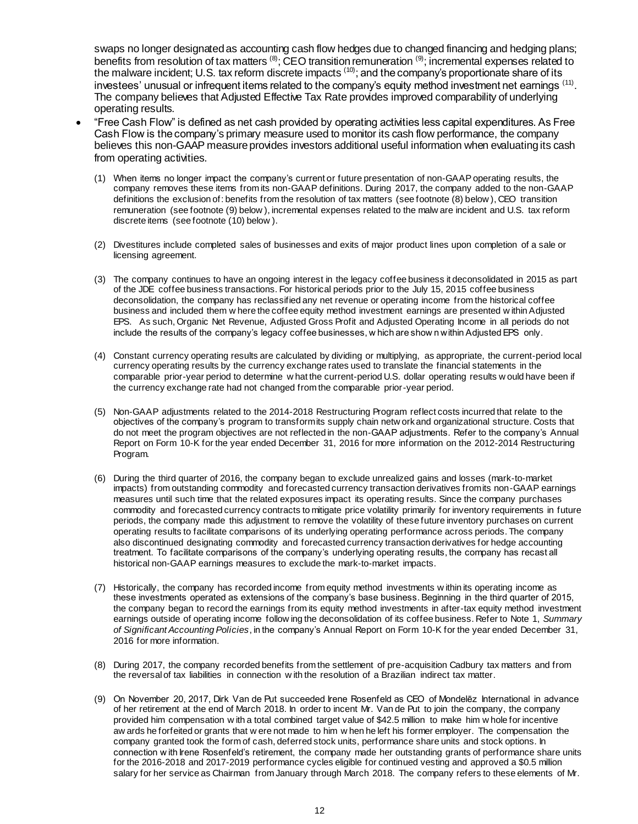swaps no longer designated as accounting cash flow hedges due to changed financing and hedging plans; benefits from resolution of tax matters (8); CEO transition remuneration (9); incremental expenses related to the malware incident; U.S. tax reform discrete impacts  $(10)$ ; and the company's proportionate share of its investees' unusual or infrequent items related to the company's equity method investment net earnings (11). The company believes that Adjusted Effective Tax Rate provides improved comparability of underlying operating results.

- "Free Cash Flow" is defined as net cash provided by operating activities less capital expenditures. As Free Cash Flow is the company's primary measure used to monitor its cash flow performance, the company believes this non-GAAP measure provides investors additional useful information when evaluating its cash from operating activities.
	- (1) When items no longer impact the company's current or future presentation of non-GAAP operating results, the company removes these items from its non-GAAP definitions. During 2017, the company added to the non-GAAP definitions the exclusion of: benefits from the resolution of tax matters (see footnote (8) below ), CEO transition remuneration (see footnote (9) below ), incremental expenses related to the malw are incident and U.S. tax reform discrete items (see footnote (10) below ).
	- (2) Divestitures include completed sales of businesses and exits of major product lines upon completion of a sale or licensing agreement.
	- (3) The company continues to have an ongoing interest in the legacy coffee business it deconsolidated in 2015 as part of the JDE coffee business transactions. For historical periods prior to the July 15, 2015 coffee business deconsolidation, the company has reclassified any net revenue or operating income from the historical coffee business and included them w here the coffee equity method investment earnings are presented w ithin Adjusted EPS. As such, Organic Net Revenue, Adjusted Gross Profit and Adjusted Operating Income in all periods do not include the results of the company's legacy coffee businesses, w hich are show n within Adjusted EPS only.
	- (4) Constant currency operating results are calculated by dividing or multiplying, as appropriate, the current-period local currency operating results by the currency exchange rates used to translate the financial statements in the comparable prior-year period to determine w hat the current-period U.S. dollar operating results w ould have been if the currency exchange rate had not changed from the comparable prior-year period.
	- (5) Non-GAAP adjustments related to the 2014-2018 Restructuring Program reflect costs incurred that relate to the objectives of the company's program to transform its supply chain netw ork and organizational structure. Costs that do not meet the program objectives are not reflected in the non-GAAP adjustments. Refer to the company's Annual Report on Form 10-K for the year ended December 31, 2016 for more information on the 2012-2014 Restructuring Program.
	- (6) During the third quarter of 2016, the company began to exclude unrealized gains and losses (mark-to-market impacts) from outstanding commodity and forecasted currency transaction derivatives from its non-GAAP earnings measures until such time that the related exposures impact its operating results. Since the company purchases commodity and forecasted currency contracts to mitigate price volatility primarily for inventory requirements in future periods, the company made this adjustment to remove the volatility of these future inventory purchases on current operating results to facilitate comparisons of its underlying operating performance across periods. The company also discontinued designating commodity and forecasted currency transaction derivatives for hedge accounting treatment. To facilitate comparisons of the company's underlying operating results, the company has recast all historical non-GAAP earnings measures to exclude the mark-to-market impacts.
	- (7) Historically, the company has recorded income from equity method investments w ithin its operating income as these investments operated as extensions of the company's base business. Beginning in the third quarter of 2015, the company began to record the earnings from its equity method investments in after-tax equity method investment earnings outside of operating income follow ing the deconsolidation of its coffee business. Refer to Note 1, *Summary of Significant Accounting Policies*, in the company's Annual Report on Form 10-K for the year ended December 31, 2016 for more information.
	- (8) During 2017, the company recorded benefits from the settlement of pre-acquisition Cadbury tax matters and from the reversal of tax liabilities in connection w ith the resolution of a Brazilian indirect tax matter.
	- (9) On November 20, 2017, Dirk Van de Put succeeded Irene Rosenfeld as CEO of Mondelēz International in advance of her retirement at the end of March 2018. In order to incent Mr. Van de Put to join the company, the company provided him compensation w ith a total combined target value of \$42.5 million to make him w hole for incentive aw ards he forfeited or grants that w ere not made to him w hen he left his former employer. The compensation the company granted took the form of cash, deferred stock units, performance share units and stock options. In connection w ith Irene Rosenfeld's retirement, the company made her outstanding grants of performance share units for the 2016-2018 and 2017-2019 performance cycles eligible for continued vesting and approved a \$0.5 million salary for her service as Chairman from January through March 2018. The company refers to these elements of Mr.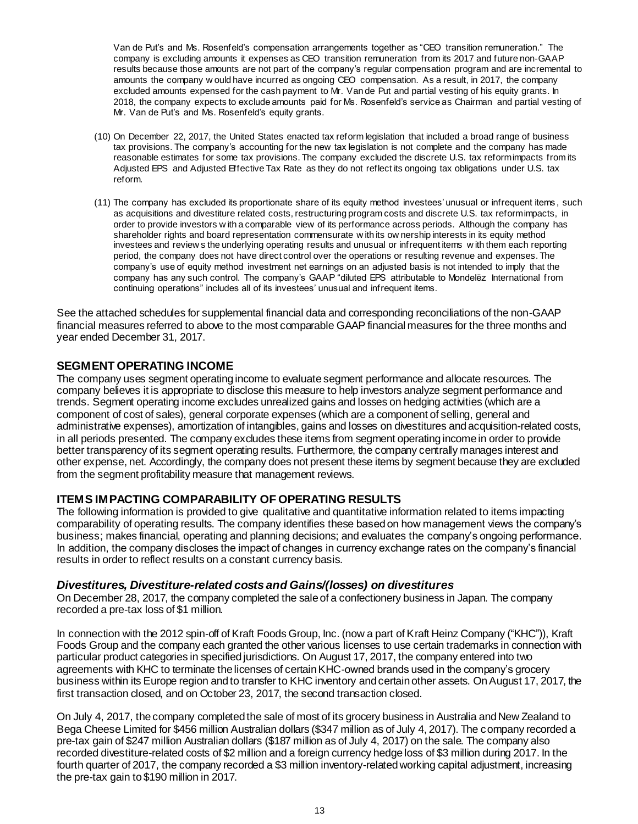Van de Put's and Ms. Rosenfeld's compensation arrangements together as "CEO transition remuneration." The company is excluding amounts it expenses as CEO transition remuneration from its 2017 and future non-GAAP results because those amounts are not part of the company's regular compensation program and are incremental to amounts the company w ould have incurred as ongoing CEO compensation. As a result, in 2017, the company excluded amounts expensed for the cash payment to Mr. Van de Put and partial vesting of his equity grants. In 2018, the company expects to exclude amounts paid for Ms. Rosenfeld's service as Chairman and partial vesting of Mr. Van de Put's and Ms. Rosenfeld's equity grants.

- (10) On December 22, 2017, the United States enacted tax reform legislation that included a broad range of business tax provisions. The company's accounting for the new tax legislation is not complete and the company has made reasonable estimates for some tax provisions. The company excluded the discrete U.S. tax reform impacts from its Adjusted EPS and Adjusted Effective Tax Rate as they do not reflect its ongoing tax obligations under U.S. tax reform.
- (11) The company has excluded its proportionate share of its equity method investees' unusual or infrequent items , such as acquisitions and divestiture related costs, restructuring program costs and discrete U.S. tax reform impacts, in order to provide investors w ith a comparable view of its performance across periods. Although the company has shareholder rights and board representation commensurate w ith its ow nership interests in its equity method investees and review s the underlying operating results and unusual or infrequent items w ith them each reporting period, the company does not have direct control over the operations or resulting revenue and expenses. The company's use of equity method investment net earnings on an adjusted basis is not intended to imply that the company has any such control. The company's GAAP "diluted EPS attributable to Mondelēz International from continuing operations" includes all of its investees' unusual and infrequent items.

See the attached schedules for supplemental financial data and corresponding reconciliations of the non-GAAP financial measures referred to above to the most comparable GAAP financial measures for the three months and year ended December 31, 2017.

### **SEGMENT OPERATING INCOME**

The company uses segment operating income to evaluate segment performance and allocate resources. The company believes it is appropriate to disclose this measure to help investors analyze segment performance and trends. Segment operating income excludes unrealized gains and losses on hedging activities (which are a component of cost of sales), general corporate expenses (which are a component of selling, general and administrative expenses), amortization of intangibles, gains and losses on divestitures and acquisition-related costs, in all periods presented. The company excludes these items from segment operating income in order to provide better transparency of its segment operating results. Furthermore, the company centrally manages interest and other expense, net. Accordingly, the company does not present these items by segment because they are excluded from the segment profitability measure that management reviews.

### **ITEMS IMPACTING COMPARABILITY OF OPERATING RESULTS**

The following information is provided to give qualitative and quantitative information related to items impacting comparability of operating results. The company identifies these based on how management views the company's business; makes financial, operating and planning decisions; and evaluates the company's ongoing performance. In addition, the company discloses the impact of changes in currency exchange rates on the company's financial results in order to reflect results on a constant currency basis.

#### *Divestitures, Divestiture-related costs and Gains/(losses) on divestitures*

On December 28, 2017, the company completed the sale of a confectionery business in Japan. The company recorded a pre-tax loss of \$1 million.

In connection with the 2012 spin-off of Kraft Foods Group, Inc. (now a part of Kraft Heinz Company ("KHC")), Kraft Foods Group and the company each granted the other various licenses to use certain trademarks in connection with particular product categories in specified jurisdictions. On August 17, 2017, the company entered into two agreements with KHC to terminate the licenses of certain KHC-owned brands used in the company's grocery business within its Europe region and to transfer to KHC inventory and certain other assets. On August 17, 2017, the first transaction closed, and on October 23, 2017, the second transaction closed.

On July 4, 2017, the company completed the sale of most of its grocery business in Australia and New Zealand to Bega Cheese Limited for \$456 million Australian dollars (\$347 million as of July 4, 2017). The company recorded a pre-tax gain of \$247 million Australian dollars (\$187 million as of July 4, 2017) on the sale. The company also recorded divestiture-related costs of \$2 million and a foreign currency hedge loss of \$3 million during 2017. In the fourth quarter of 2017, the company recorded a \$3 million inventory-related working capital adjustment, increasing the pre-tax gain to \$190 million in 2017.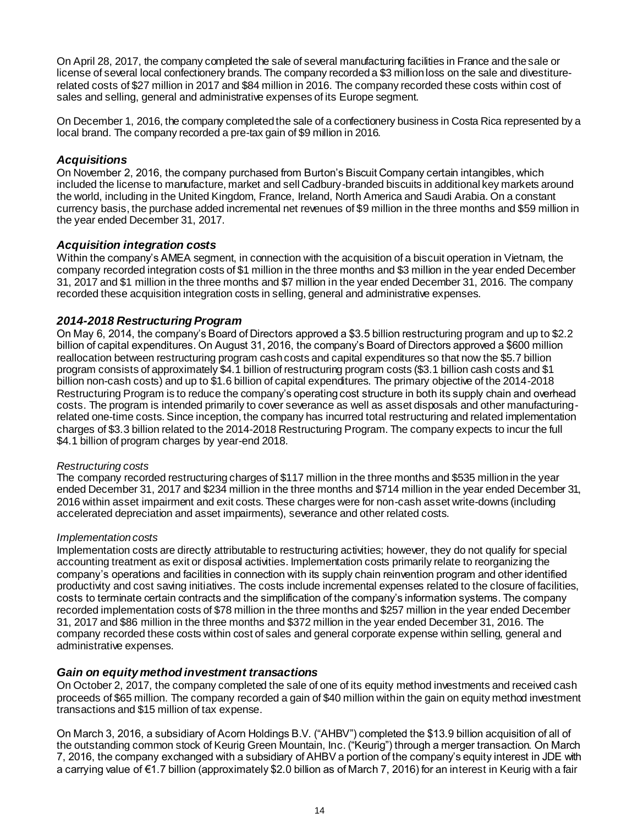On April 28, 2017, the company completed the sale of several manufacturing facilities in France and the sale or license of several local confectionery brands. The company recorded a \$3 million loss on the sale and divestiturerelated costs of \$27 million in 2017 and \$84 million in 2016. The company recorded these costs within cost of sales and selling, general and administrative expenses of its Europe segment.

On December 1, 2016, the company completed the sale of a confectionery business in Costa Rica represented by a local brand. The company recorded a pre-tax gain of \$9 million in 2016.

#### *Acquisitions*

On November 2, 2016, the company purchased from Burton's Biscuit Company certain intangibles, which included the license to manufacture, market and sell Cadbury-branded biscuits in additional key markets around the world, including in the United Kingdom, France, Ireland, North America and Saudi Arabia. On a constant currency basis, the purchase added incremental net revenues of \$9 million in the three months and \$59 million in the year ended December 31, 2017.

#### *Acquisition integration costs*

Within the company's AMEA segment, in connection with the acquisition of a biscuit operation in Vietnam, the company recorded integration costs of \$1 million in the three months and \$3 million in the year ended December 31, 2017 and \$1 million in the three months and \$7 million in the year ended December 31, 2016. The company recorded these acquisition integration costs in selling, general and administrative expenses.

### *2014-2018 Restructuring Program*

On May 6, 2014, the company's Board of Directors approved a \$3.5 billion restructuring program and up to \$2.2 billion of capital expenditures. On August 31, 2016, the company's Board of Directors approved a \$600 million reallocation between restructuring program cash costs and capital expenditures so that now the \$5.7 billion program consists of approximately \$4.1 billion of restructuring program costs (\$3.1 billion cash costs and \$1 billion non-cash costs) and up to \$1.6 billion of capital expenditures. The primary objective of the 2014-2018 Restructuring Program is to reduce the company's operating cost structure in both its supply chain and overhead costs. The program is intended primarily to cover severance as well as asset disposals and other manufacturingrelated one-time costs. Since inception, the company has incurred total restructuring and related implementation charges of \$3.3 billion related to the 2014-2018 Restructuring Program. The company expects to incur the full \$4.1 billion of program charges by year-end 2018.

#### *Restructuring costs*

The company recorded restructuring charges of \$117 million in the three months and \$535 million in the year ended December 31, 2017 and \$234 million in the three months and \$714 million in the year ended December 31, 2016 within asset impairment and exit costs. These charges were for non-cash asset write-downs (including accelerated depreciation and asset impairments), severance and other related costs.

#### *Implementation costs*

Implementation costs are directly attributable to restructuring activities; however, they do not qualify for special accounting treatment as exit or disposal activities. Implementation costs primarily relate to reorganizing the company's operations and facilities in connection with its supply chain reinvention program and other identified productivity and cost saving initiatives. The costs include incremental expenses related to the closure of facilities, costs to terminate certain contracts and the simplification of the company's information systems. The company recorded implementation costs of \$78 million in the three months and \$257 million in the year ended December 31, 2017 and \$86 million in the three months and \$372 million in the year ended December 31, 2016. The company recorded these costs within cost of sales and general corporate expense within selling, general and administrative expenses.

#### *Gain on equity method investment transactions*

On October 2, 2017, the company completed the sale of one of its equity method investments and received cash proceeds of \$65 million. The company recorded a gain of \$40 million within the gain on equity method investment transactions and \$15 million of tax expense.

On March 3, 2016, a subsidiary of Acorn Holdings B.V. ("AHBV") completed the \$13.9 billion acquisition of all of the outstanding common stock of Keurig Green Mountain, Inc. ("Keurig") through a merger transaction. On March 7, 2016, the company exchanged with a subsidiary of AHBV a portion of the company's equity interest in JDE with a carrying value of €1.7 billion (approximately \$2.0 billion as of March 7, 2016) for an interest in Keurig with a fair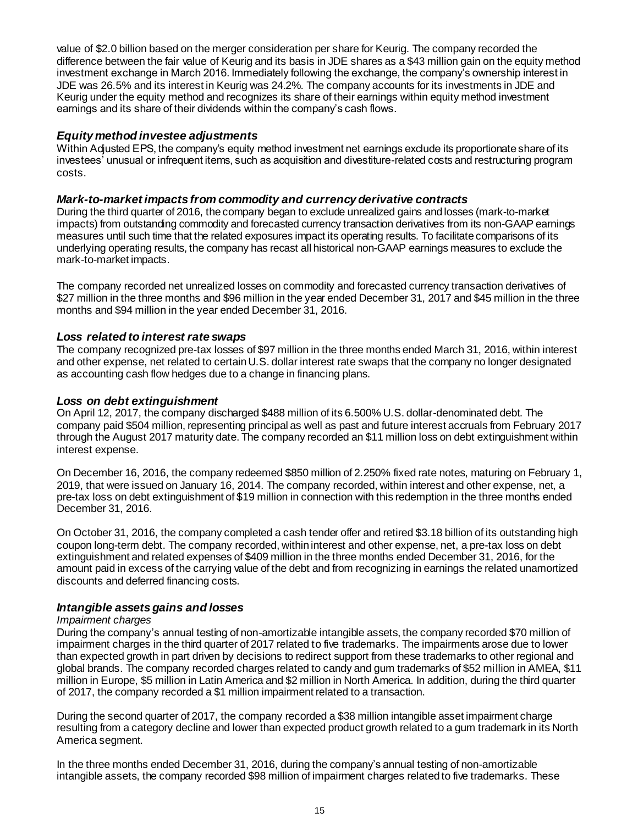value of \$2.0 billion based on the merger consideration per share for Keurig. The company recorded the difference between the fair value of Keurig and its basis in JDE shares as a \$43 million gain on the equity method investment exchange in March 2016. Immediately following the exchange, the company's ownership interest in JDE was 26.5% and its interest in Keurig was 24.2%. The company accounts for its investments in JDE and Keurig under the equity method and recognizes its share of their earnings within equity method investment earnings and its share of their dividends within the company's cash flows.

#### *Equity method investee adjustments*

Within Adjusted EPS, the company's equity method investment net earnings exclude its proportionate share of its investees' unusual or infrequent items, such as acquisition and divestiture-related costs and restructuring program costs.

#### *Mark-to-market impacts from commodity and currency derivative contracts*

During the third quarter of 2016, the company began to exclude unrealized gains and losses (mark-to-market impacts) from outstanding commodity and forecasted currency transaction derivatives from its non-GAAP earnings measures until such time that the related exposures impact its operating results. To facilitate comparisons of its underlying operating results, the company has recast all historical non-GAAP earnings measures to exclude the mark-to-market impacts.

The company recorded net unrealized losses on commodity and forecasted currency transaction derivatives of \$27 million in the three months and \$96 million in the year ended December 31, 2017 and \$45 million in the three months and \$94 million in the year ended December 31, 2016.

#### *Loss related to interest rate swaps*

The company recognized pre-tax losses of \$97 million in the three months ended March 31, 2016, within interest and other expense, net related to certain U.S. dollar interest rate swaps that the company no longer designated as accounting cash flow hedges due to a change in financing plans.

#### *Loss on debt extinguishment*

On April 12, 2017, the company discharged \$488 million of its 6.500% U.S. dollar-denominated debt. The company paid \$504 million, representing principal as well as past and future interest accruals from February 2017 through the August 2017 maturity date. The company recorded an \$11 million loss on debt extinguishment within interest expense.

On December 16, 2016, the company redeemed \$850 million of 2.250% fixed rate notes, maturing on February 1, 2019, that were issued on January 16, 2014. The company recorded, within interest and other expense, net, a pre-tax loss on debt extinguishment of \$19 million in connection with this redemption in the three months ended December 31, 2016.

On October 31, 2016, the company completed a cash tender offer and retired \$3.18 billion of its outstanding high coupon long-term debt. The company recorded, within interest and other expense, net, a pre-tax loss on debt extinguishment and related expenses of \$409 million in the three months ended December 31, 2016, for the amount paid in excess of the carrying value of the debt and from recognizing in earnings the related unamortized discounts and deferred financing costs.

### *Intangible assets gains and losses*

#### *Impairment charges*

During the company's annual testing of non-amortizable intangible assets, the company recorded \$70 million of impairment charges in the third quarter of 2017 related to five trademarks. The impairments arose due to lower than expected growth in part driven by decisions to redirect support from these trademarks to other regional and global brands. The company recorded charges related to candy and gum trademarks of \$52 million in AMEA, \$11 million in Europe, \$5 million in Latin America and \$2 million in North America. In addition, during the third quarter of 2017, the company recorded a \$1 million impairment related to a transaction.

During the second quarter of 2017, the company recorded a \$38 million intangible asset impairment charge resulting from a category decline and lower than expected product growth related to a gum trademark in its North America segment.

In the three months ended December 31, 2016, during the company's annual testing of non-amortizable intangible assets, the company recorded \$98 million of impairment charges related to five trademarks. These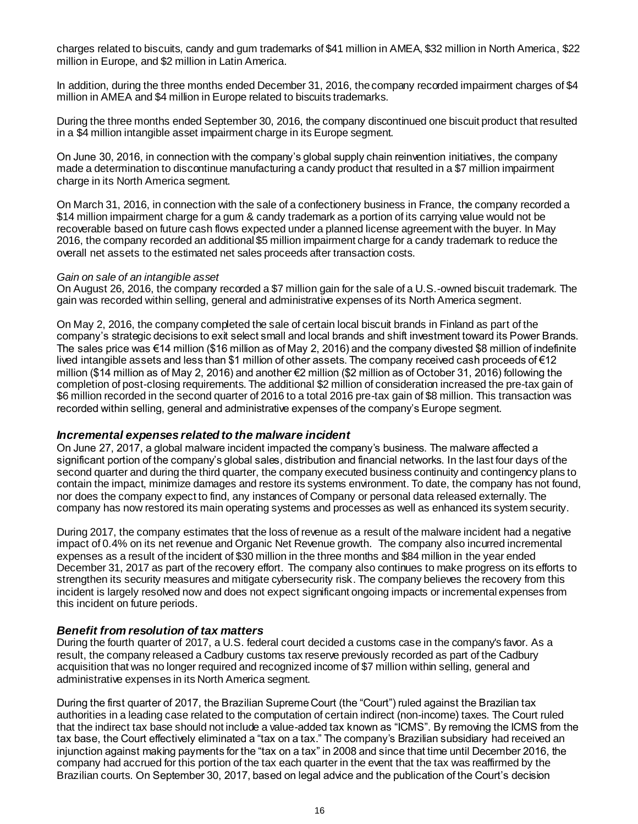charges related to biscuits, candy and gum trademarks of \$41 million in AMEA, \$32 million in North America, \$22 million in Europe, and \$2 million in Latin America.

In addition, during the three months ended December 31, 2016, the company recorded impairment charges of \$4 million in AMEA and \$4 million in Europe related to biscuits trademarks.

During the three months ended September 30, 2016, the company discontinued one biscuit product that resulted in a \$4 million intangible asset impairment charge in its Europe segment.

On June 30, 2016, in connection with the company's global supply chain reinvention initiatives, the company made a determination to discontinue manufacturing a candy product that resulted in a \$7 million impairment charge in its North America segment.

On March 31, 2016, in connection with the sale of a confectionery business in France, the company recorded a \$14 million impairment charge for a gum & candy trademark as a portion of its carrying value would not be recoverable based on future cash flows expected under a planned license agreement with the buyer. In May 2016, the company recorded an additional \$5 million impairment charge for a candy trademark to reduce the overall net assets to the estimated net sales proceeds after transaction costs.

#### *Gain on sale of an intangible asset*

On August 26, 2016, the company recorded a \$7 million gain for the sale of a U.S.-owned biscuit trademark. The gain was recorded within selling, general and administrative expenses of its North America segment.

On May 2, 2016, the company completed the sale of certain local biscuit brands in Finland as part of the company's strategic decisions to exit select small and local brands and shift investment toward its Power Brands. The sales price was €14 million (\$16 million as of May 2, 2016) and the company divested \$8 million of indefinite lived intangible assets and less than \$1 million of other assets. The company received cash proceeds of €12 million (\$14 million as of May 2, 2016) and another €2 million (\$2 million as of October 31, 2016) following the completion of post-closing requirements. The additional \$2 million of consideration increased the pre-tax gain of \$6 million recorded in the second quarter of 2016 to a total 2016 pre-tax gain of \$8 million. This transaction was recorded within selling, general and administrative expenses of the company's Europe segment.

#### *Incremental expenses related to the malware incident*

On June 27, 2017, a global malware incident impacted the company's business. The malware affected a significant portion of the company's global sales, distribution and financial networks. In the last four days of the second quarter and during the third quarter, the company executed business continuity and contingency plans to contain the impact, minimize damages and restore its systems environment. To date, the company has not found, nor does the company expect to find, any instances of Company or personal data released externally. The company has now restored its main operating systems and processes as well as enhanced its system security.

During 2017, the company estimates that the loss of revenue as a result of the malware incident had a negative impact of 0.4% on its net revenue and Organic Net Revenue growth. The company also incurred incremental expenses as a result of the incident of \$30 million in the three months and \$84 million in the year ended December 31, 2017 as part of the recovery effort. The company also continues to make progress on its efforts to strengthen its security measures and mitigate cybersecurity risk. The company believes the recovery from this incident is largely resolved now and does not expect significant ongoing impacts or incremental expenses from this incident on future periods.

#### *Benefit from resolution of tax matters*

During the fourth quarter of 2017, a U.S. federal court decided a customs case in the company's favor. As a result, the company released a Cadbury customs tax reserve previously recorded as part of the Cadbury acquisition that was no longer required and recognized income of \$7 million within selling, general and administrative expenses in its North America segment.

During the first quarter of 2017, the Brazilian Supreme Court (the "Court") ruled against the Brazilian tax authorities in a leading case related to the computation of certain indirect (non-income) taxes. The Court ruled that the indirect tax base should not include a value-added tax known as "ICMS". By removing the ICMS from the tax base, the Court effectively eliminated a "tax on a tax." The company's Brazilian subsidiary had received an injunction against making payments for the "tax on a tax" in 2008 and since that time until December 2016, the company had accrued for this portion of the tax each quarter in the event that the tax was reaffirmed by the Brazilian courts. On September 30, 2017, based on legal advice and the publication of the Court's decision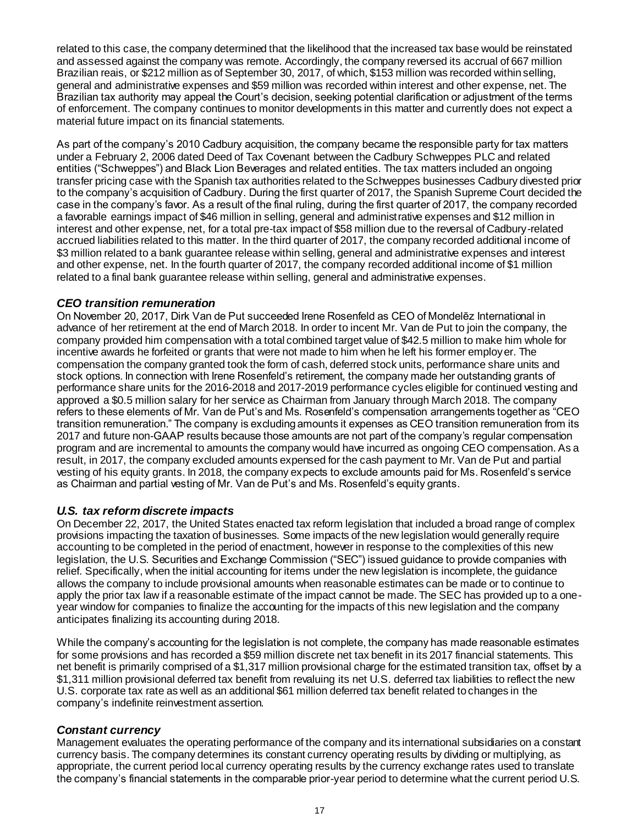related to this case, the company determined that the likelihood that the increased tax base would be reinstated and assessed against the company was remote. Accordingly, the company reversed its accrual of 667 million Brazilian reais, or \$212 million as of September 30, 2017, of which, \$153 million was recorded within selling, general and administrative expenses and \$59 million was recorded within interest and other expense, net. The Brazilian tax authority may appeal the Court's decision, seeking potential clarification or adjustment of the terms of enforcement. The company continues to monitor developments in this matter and currently does not expect a material future impact on its financial statements.

As part of the company's 2010 Cadbury acquisition, the company became the responsible party for tax matters under a February 2, 2006 dated Deed of Tax Covenant between the Cadbury Schweppes PLC and related entities ("Schweppes") and Black Lion Beverages and related entities. The tax matters included an ongoing transfer pricing case with the Spanish tax authorities related to the Schweppes businesses Cadbury divested prior to the company's acquisition of Cadbury. During the first quarter of 2017, the Spanish Supreme Court decided the case in the company's favor. As a result of the final ruling, during the first quarter of 2017, the company recorded a favorable earnings impact of \$46 million in selling, general and administrative expenses and \$12 million in interest and other expense, net, for a total pre-tax impact of \$58 million due to the reversal of Cadbury-related accrued liabilities related to this matter. In the third quarter of 2017, the company recorded additional income of \$3 million related to a bank guarantee release within selling, general and administrative expenses and interest and other expense, net. In the fourth quarter of 2017, the company recorded additional income of \$1 million related to a final bank guarantee release within selling, general and administrative expenses.

#### *CEO transition remuneration*

On November 20, 2017, Dirk Van de Put succeeded Irene Rosenfeld as CEO of Mondelēz International in advance of her retirement at the end of March 2018. In order to incent Mr. Van de Put to join the company, the company provided him compensation with a total combined target value of \$42.5 million to make him whole for incentive awards he forfeited or grants that were not made to him when he left his former employer. The compensation the company granted took the form of cash, deferred stock units, performance share units and stock options. In connection with Irene Rosenfeld's retirement, the company made her outstanding grants of performance share units for the 2016-2018 and 2017-2019 performance cycles eligible for continued vesting and approved a \$0.5 million salary for her service as Chairman from January through March 2018. The company refers to these elements of Mr. Van de Put's and Ms. Rosenfeld's compensation arrangements together as "CEO transition remuneration." The company is excluding amounts it expenses as CEO transition remuneration from its 2017 and future non-GAAP results because those amounts are not part of the company's regular compensation program and are incremental to amounts the company would have incurred as ongoing CEO compensation. As a result, in 2017, the company excluded amounts expensed for the cash payment to Mr. Van de Put and partial vesting of his equity grants. In 2018, the company expects to exclude amounts paid for Ms. Rosenfeld's service as Chairman and partial vesting of Mr. Van de Put's and Ms. Rosenfeld's equity grants.

#### *U.S. tax reform discrete impacts*

On December 22, 2017, the United States enacted tax reform legislation that included a broad range of complex provisions impacting the taxation of businesses. Some impacts of the new legislation would generally require accounting to be completed in the period of enactment, however in response to the complexities of this new legislation, the U.S. Securities and Exchange Commission ("SEC") issued guidance to provide companies with relief. Specifically, when the initial accounting for items under the new legislation is incomplete, the guidance allows the company to include provisional amounts when reasonable estimates can be made or to continue to apply the prior tax law if a reasonable estimate of the impact cannot be made. The SEC has provided up to a oneyear window for companies to finalize the accounting for the impacts of this new legislation and the company anticipates finalizing its accounting during 2018.

While the company's accounting for the legislation is not complete, the company has made reasonable estimates for some provisions and has recorded a \$59 million discrete net tax benefit in its 2017 financial statements. This net benefit is primarily comprised of a \$1,317 million provisional charge for the estimated transition tax, offset by a \$1,311 million provisional deferred tax benefit from revaluing its net U.S. deferred tax liabilities to reflect the new U.S. corporate tax rate as well as an additional \$61 million deferred tax benefit related to changes in the company's indefinite reinvestment assertion.

#### *Constant currency*

Management evaluates the operating performance of the company and its international subsidiaries on a constant currency basis. The company determines its constant currency operating results by dividing or multiplying, as appropriate, the current period local currency operating results by the currency exchange rates used to translate the company's financial statements in the comparable prior-year period to determine what the current period U.S.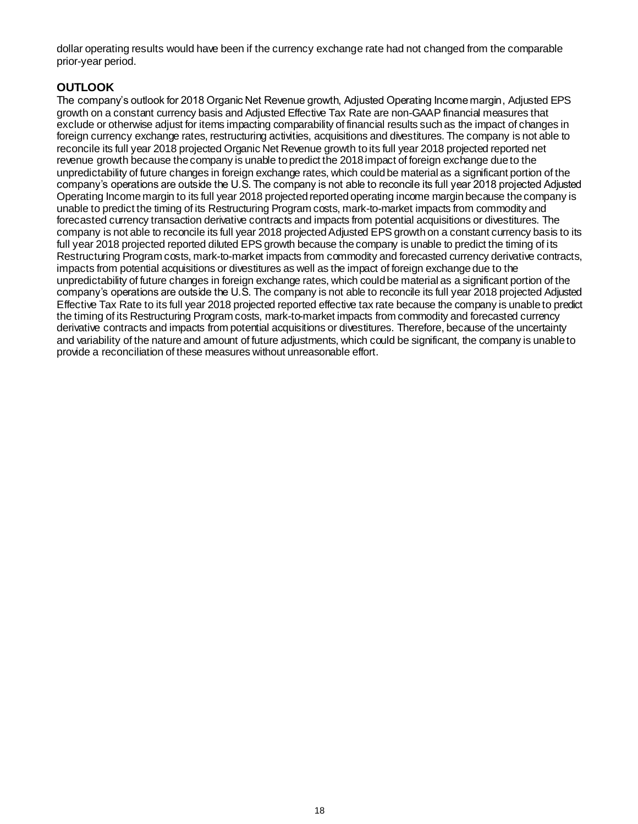dollar operating results would have been if the currency exchange rate had not changed from the comparable prior-year period.

# **OUTLOOK**

The company's outlook for 2018 Organic Net Revenue growth, Adjusted Operating Income margin, Adjusted EPS growth on a constant currency basis and Adjusted Effective Tax Rate are non-GAAP financial measures that exclude or otherwise adjust for items impacting comparability of financial results such as the impact of changes in foreign currency exchange rates, restructuring activities, acquisitions and divestitures. The company is not able to reconcile its full year 2018 projected Organic Net Revenue growth to its full year 2018 projected reported net revenue growth because the company is unable to predict the 2018 impact of foreign exchange due to the unpredictability of future changes in foreign exchange rates, which could be material as a significant portion of the company's operations are outside the U.S. The company is not able to reconcile its full year 2018 projected Adjusted Operating Income margin to its full year 2018 projected reported operating income margin because the company is unable to predict the timing of its Restructuring Program costs, mark-to-market impacts from commodity and forecasted currency transaction derivative contracts and impacts from potential acquisitions or divestitures. The company is not able to reconcile its full year 2018 projected Adjusted EPS growth on a constant currency basis to its full year 2018 projected reported diluted EPS growth because the company is unable to predict the timing of its Restructuring Program costs, mark-to-market impacts from commodity and forecasted currency derivative contracts, impacts from potential acquisitions or divestitures as well as the impact of foreign exchange due to the unpredictability of future changes in foreign exchange rates, which could be material as a significant portion of the company's operations are outside the U.S. The company is not able to reconcile its full year 2018 projected Adjusted Effective Tax Rate to its full year 2018 projected reported effective tax rate because the company is unable to predict the timing of its Restructuring Program costs, mark-to-market impacts from commodity and forecasted currency derivative contracts and impacts from potential acquisitions or divestitures. Therefore, because of the uncertainty and variability of the nature and amount of future adjustments, which could be significant, the company is unable to provide a reconciliation of these measures without unreasonable effort.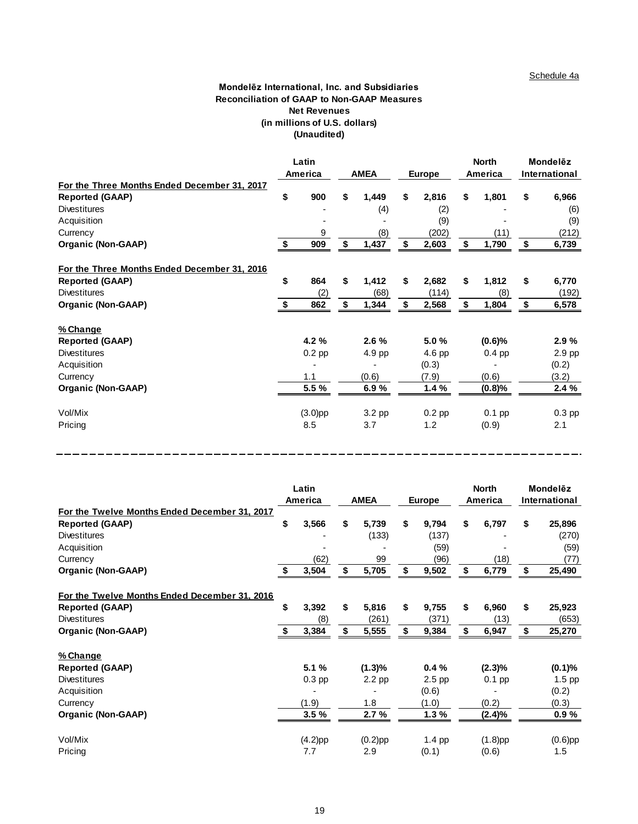$---$ 

#### **(in millions of U.S. dollars) Mondelēz International, Inc. and Subsidiaries Reconciliation of GAAP to Non-GAAP Measures Net Revenues (Unaudited)**

|                                              |    | Latin      |             |    |               | <b>North</b> |    | Mondelēz      |
|----------------------------------------------|----|------------|-------------|----|---------------|--------------|----|---------------|
|                                              |    | America    | <b>AMEA</b> |    | <b>Europe</b> | America      |    | International |
| For the Three Months Ended December 31, 2017 |    |            |             |    |               |              |    |               |
| <b>Reported (GAAP)</b>                       | \$ | 900        | \$<br>1,449 | \$ | 2,816         | \$<br>1,801  | \$ | 6,966         |
| <b>Divestitures</b>                          |    |            | (4)         |    | (2)           |              |    | (6)           |
| Acquisition                                  |    |            |             |    | (9)           |              |    | (9)           |
| Currency                                     |    | 9          | (8)         |    | (202)         | (11)         |    | (212)         |
| <b>Organic (Non-GAAP)</b>                    | S  | 909        | 1,437       | S  | 2,603         | \$<br>1,790  | S  | 6,739         |
| For the Three Months Ended December 31, 2016 |    |            |             |    |               |              |    |               |
| <b>Reported (GAAP)</b>                       | \$ | 864        | \$<br>1,412 | \$ | 2,682         | \$<br>1,812  | \$ | 6,770         |
| <b>Divestitures</b>                          |    | (2)        | (68)        |    | (114)         | (8)          |    | (192)         |
| <b>Organic (Non-GAAP)</b>                    | \$ | 862        | \$<br>1,344 | \$ | 2,568         | \$<br>1,804  | \$ | 6,578         |
| % Change                                     |    |            |             |    |               |              |    |               |
| <b>Reported (GAAP)</b>                       |    | 4.2%       | 2.6%        |    | 5.0%          | (0.6)%       |    | 2.9%          |
| <b>Divestitures</b>                          |    | $0.2$ pp   | 4.9 pp      |    | 4.6 pp        | $0.4$ pp     |    | $2.9$ pp      |
| Acquisition                                  |    |            |             |    | (0.3)         |              |    | (0.2)         |
| Currency                                     |    | 1.1        | (0.6)       |    | (7.9)         | (0.6)        |    | (3.2)         |
| <b>Organic (Non-GAAP)</b>                    |    | 5.5 %      | 6.9%        |    | $1.4 \%$      | (0.8)%       |    | 2.4%          |
| Vol/Mix                                      |    | $(3.0)$ pp | 3.2 pp      |    | $0.2$ pp      | $0.1$ pp     |    | $0.3$ pp      |
| Pricing                                      |    | 8.5        | 3.7         |    | 1.2           | (0.9)        |    | 2.1           |
|                                              |    |            |             |    |               |              |    |               |

|                                               |    | Latin      |             |               | <b>North</b> |    | Mondelēz      |
|-----------------------------------------------|----|------------|-------------|---------------|--------------|----|---------------|
|                                               |    | America    | <b>AMEA</b> | <b>Europe</b> | America      |    | International |
| For the Twelve Months Ended December 31, 2017 |    |            |             |               |              |    |               |
| <b>Reported (GAAP)</b>                        | \$ | 3,566      | \$<br>5,739 | \$<br>9,794   | \$<br>6,797  | \$ | 25,896        |
| <b>Divestitures</b>                           |    |            | (133)       | (137)         |              |    | (270)         |
| Acquisition                                   |    |            |             | (59)          |              |    | (59)          |
| Currency                                      |    | (62)       | 99          | (96)          | (18)         |    | (77)          |
| <b>Organic (Non-GAAP)</b>                     |    | 3,504      | 5,705       | 9,502         | \$<br>6,779  |    | 25,490        |
| For the Twelve Months Ended December 31, 2016 |    |            |             |               |              |    |               |
| <b>Reported (GAAP)</b>                        | \$ | 3,392      | \$<br>5,816 | \$<br>9,755   | \$<br>6,960  | \$ | 25,923        |
| <b>Divestitures</b>                           |    | (8)        | (261)       | (371)         | (13)         |    | (653)         |
| <b>Organic (Non-GAAP)</b>                     | S  | 3,384      | \$<br>5,555 | \$<br>9,384   | \$<br>6,947  | S  | 25,270        |
| % Change                                      |    |            |             |               |              |    |               |
| <b>Reported (GAAP)</b>                        |    | 5.1%       | (1.3)%      | 0.4%          | $(2.3)\%$    |    | (0.1)%        |
| <b>Divestitures</b>                           |    | $0.3$ pp   | 2.2 pp      | 2.5 pp        | $0.1$ pp     |    | $1.5$ pp      |
| Acquisition                                   |    |            |             | (0.6)         |              |    | (0.2)         |
| Currency                                      |    | (1.9)      | 1.8         | (1.0)         | (0.2)        |    | (0.3)         |
| <b>Organic (Non-GAAP)</b>                     |    | 3.5%       | 2.7%        | 1.3%          | $(2.4)\%$    |    | $0.9 \%$      |
| Vol/Mix                                       |    | $(4.2)$ pp | $(0.2)$ pp  | $1.4$ pp      | $(1.8)$ pp   |    | $(0.6)$ pp    |
| Pricing                                       |    | 7.7        | 2.9         | (0.1)         | (0.6)        |    | 1.5           |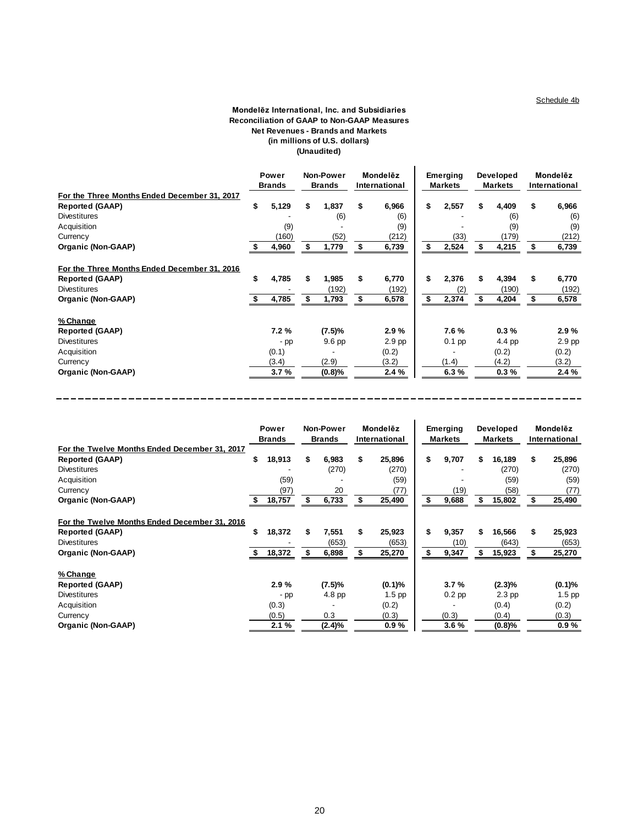#### Schedule 4b

-----------------

#### **Mondelēz International, Inc. and Subsidiaries Reconciliation of GAAP to Non-GAAP Measures Net Revenues - Brands and Markets (in millions of U.S. dollars) (Unaudited)**

 $\blacksquare$ 

|                                              | <b>Power</b><br><b>Brands</b> |     | Non-Power<br><b>Brands</b> | Mondelez<br>International | Emerging<br><b>Markets</b> | Developed<br><b>Markets</b> |    | Mondelez<br>International |
|----------------------------------------------|-------------------------------|-----|----------------------------|---------------------------|----------------------------|-----------------------------|----|---------------------------|
| For the Three Months Ended December 31, 2017 |                               |     |                            |                           |                            |                             |    |                           |
| <b>Reported (GAAP)</b>                       | \$<br>5,129                   | \$  | 1,837                      | \$<br>6,966               | \$<br>2,557                | \$<br>4,409                 | \$ | 6,966                     |
| <b>Divestitures</b>                          |                               |     | (6)                        | (6)                       |                            | (6)                         |    | (6)                       |
| Acquisition                                  | (9)                           |     |                            | (9)                       |                            | (9)                         |    | (9)                       |
| Currency                                     | (160)                         |     | (52)                       | (212)                     | (33)                       | (179)                       |    | (212)                     |
| Organic (Non-GAAP)                           | 4,960                         |     | 1,779                      | 6,739                     | 2,524                      | 4,215                       |    | 6,739                     |
| For the Three Months Ended December 31, 2016 |                               |     |                            |                           |                            |                             |    |                           |
| <b>Reported (GAAP)</b>                       | \$<br>4,785                   | \$. | 1,985                      | \$<br>6,770               | \$<br>2,376                | \$<br>4,394                 | \$ | 6,770                     |
| <b>Divestitures</b>                          |                               |     | (192)                      | (192)                     | (2)                        | (190)                       |    | (192)                     |
| Organic (Non-GAAP)                           | 4,785                         |     | 1,793                      | 6,578                     | \$<br>2,374                | \$<br>4,204                 | S  | 6,578                     |
| % Change                                     |                               |     |                            |                           |                            |                             |    |                           |
| <b>Reported (GAAP)</b>                       | 7.2%                          |     | (7.5)%                     | 2.9%                      | 7.6%                       | 0.3%                        |    | 2.9%                      |
| <b>Divestitures</b>                          | $-pp$                         |     | $9.6$ pp                   | $2.9$ pp                  | $0.1$ pp                   | 4.4 pp                      |    | 2.9 pp                    |
| Acquisition                                  | (0.1)                         |     |                            | (0.2)                     |                            | (0.2)                       |    | (0.2)                     |
| Currency                                     | (3.4)                         |     | (2.9)                      | (3.2)                     | (1.4)                      | (4.2)                       |    | (3.2)                     |
| Organic (Non-GAAP)                           | 3.7%                          |     | (0.8)%                     | 2.4%                      | 6.3%                       | 0.3%                        |    | 2.4%                      |

**Power Brands Non-Power Brands Mondelēz International Emerging Markets Developed Markets Mondelēz International For the Twelve Months Ended December 31, 2017 Reported (GAAP) \$ 18,913 \$ 6,983 \$ 25,896 \$ 9,707 \$ 16,189 \$ 25,896** Divestitures - (270) (270) - (270) (270) Acquisition (59) - (59) - (59) (59) Currency (97) 20 (77) (19) (58) (77) **Organic (Non-GAAP) \$ 18,757 \$ 6,733 \$ 25,490 \$ 9,688 \$ 15,802 \$ 25,490 For the Twelve Months Ended December 31, 2016 Reported (GAAP) \$ 18,372 \$ 7,551 \$ 25,923 \$ 9,357 \$ 16,566 \$ 25,923** Divestitures - (653) (653) (10) (643) (653) **Organic (Non-GAAP) \$ 18,372 \$ 6,898 \$ 25,270 \$ 9,347 \$ 15,923 \$ 25,270 % Change Reported (GAAP) 2.9 2.9 6 <b>2.9 2.9 2.9 6 <b>2.9 2.9 6 <b>2.9 2.9 6 2.3 2.9 2.3 2.5 2.3 2.5 2.3 2.5 2.3 2.5 2.3 2.5 2.3 2.5 2.3 2.3 2.5 2.3 2.3 2.3 2.3 2.3 2.3** Divestitures - pp 4.8 pp 1.5 pp 0.2 pp 2.3 pp 1.5 pp Acquisition (0.3) - (0.2) - (0.4) (0.2) Currency (0.5) 0.3 (0.3) (0.3) (0.4) (0.3) **Organic (Non-GAAP) 2.1 % (2.4)% 0.9 % 3.6 % (0.8)% 0.9 %**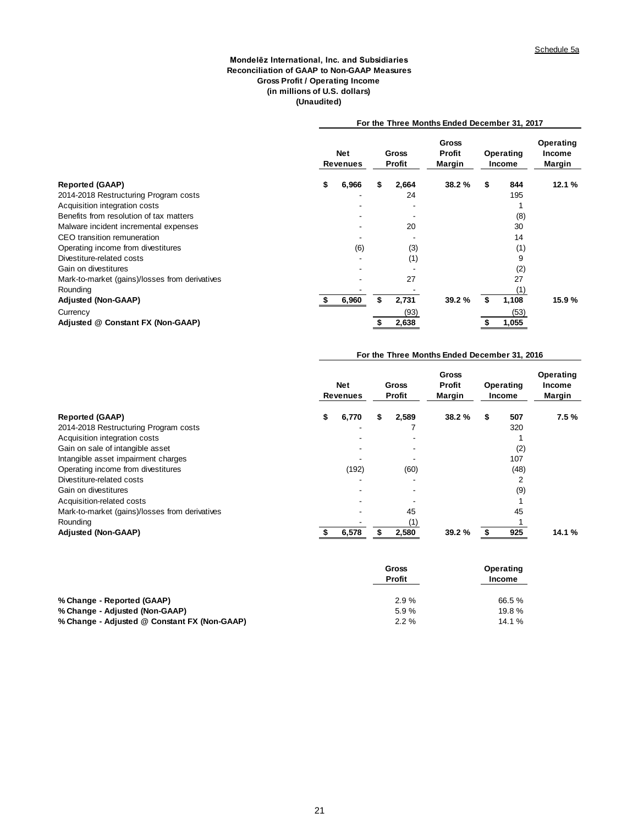#### **Mondelēz International, Inc. and Subsidiaries Reconciliation of GAAP to Non-GAAP Measures Gross Profit / Operating Income (in millions of U.S. dollars) (Unaudited)**

|                                                | For the Three Months Ended December 31, 2017 |                               |    |                 |                                         |   |                            |                                      |  |  |
|------------------------------------------------|----------------------------------------------|-------------------------------|----|-----------------|-----------------------------------------|---|----------------------------|--------------------------------------|--|--|
|                                                |                                              | <b>Net</b><br><b>Revenues</b> |    | Gross<br>Profit | <b>Gross</b><br>Profit<br><b>Margin</b> |   | Operating<br><b>Income</b> | <b>Operating</b><br>Income<br>Margin |  |  |
| <b>Reported (GAAP)</b>                         | \$                                           | 6,966                         | S  | 2,664           | 38.2%                                   | S | 844                        | 12.1%                                |  |  |
| 2014-2018 Restructuring Program costs          |                                              |                               |    | 24              |                                         |   | 195                        |                                      |  |  |
| Acquisition integration costs                  |                                              |                               |    |                 |                                         |   |                            |                                      |  |  |
| Benefits from resolution of tax matters        |                                              |                               |    |                 |                                         |   | (8)                        |                                      |  |  |
| Malware incident incremental expenses          |                                              |                               |    | 20              |                                         |   | 30                         |                                      |  |  |
| CEO transition remuneration                    |                                              |                               |    |                 |                                         |   | 14                         |                                      |  |  |
| Operating income from divestitures             |                                              | (6)                           |    | (3)             |                                         |   | (1)                        |                                      |  |  |
| Divestiture-related costs                      |                                              |                               |    | (1)             |                                         |   | 9                          |                                      |  |  |
| Gain on divestitures                           |                                              |                               |    |                 |                                         |   | (2)                        |                                      |  |  |
| Mark-to-market (gains)/losses from derivatives |                                              |                               |    | 27              |                                         |   | 27                         |                                      |  |  |
| Rounding                                       |                                              |                               |    |                 |                                         |   | (1)                        |                                      |  |  |
| <b>Adjusted (Non-GAAP)</b>                     |                                              | 6,960                         | \$ | 2,731           | 39.2%                                   |   | 1,108                      | 15.9 %                               |  |  |
| Currency                                       |                                              |                               |    | (93)            |                                         |   | (53)                       |                                      |  |  |
| Adjusted @ Constant FX (Non-GAAP)              |                                              |                               |    | 2,638           |                                         |   | 1,055                      |                                      |  |  |

|                                                |                               |   |                 | For the Three Months Ended December 31, 2016 |                            |                               |
|------------------------------------------------|-------------------------------|---|-----------------|----------------------------------------------|----------------------------|-------------------------------|
|                                                | <b>Net</b><br><b>Revenues</b> |   | Gross<br>Profit | Gross<br>Profit<br>Margin                    | Operating<br><b>Income</b> | Operating<br>Income<br>Margin |
| <b>Reported (GAAP)</b>                         | \$<br>6,770                   | S | 2,589           | 38.2%                                        | \$<br>507                  | 7.5%                          |
| 2014-2018 Restructuring Program costs          |                               |   |                 |                                              | 320                        |                               |
| Acquisition integration costs                  |                               |   |                 |                                              |                            |                               |
| Gain on sale of intangible asset               |                               |   |                 |                                              | (2)                        |                               |
| Intangible asset impairment charges            |                               |   |                 |                                              | 107                        |                               |
| Operating income from divestitures             | (192)                         |   | (60)            |                                              | (48)                       |                               |
| Divestiture-related costs                      |                               |   |                 |                                              | 2                          |                               |
| Gain on divestitures                           |                               |   |                 |                                              | (9)                        |                               |
| Acquisition-related costs                      |                               |   |                 |                                              |                            |                               |
| Mark-to-market (gains)/losses from derivatives |                               |   | 45              |                                              | 45                         |                               |
| Rounding                                       |                               |   |                 |                                              |                            |                               |
| <b>Adjusted (Non-GAAP)</b>                     | 6,578                         |   | 2,580           | 39.2%                                        | 925                        | 14.1 %                        |

|                                              | Gross    | Operating |
|----------------------------------------------|----------|-----------|
|                                              | Profit   | Income    |
| % Change - Reported (GAAP)                   | 2.9%     | 66.5 %    |
| % Change - Adjusted (Non-GAAP)               | 5.9%     | 19.8%     |
| % Change - Adjusted @ Constant FX (Non-GAAP) | $2.2 \%$ | 14.1%     |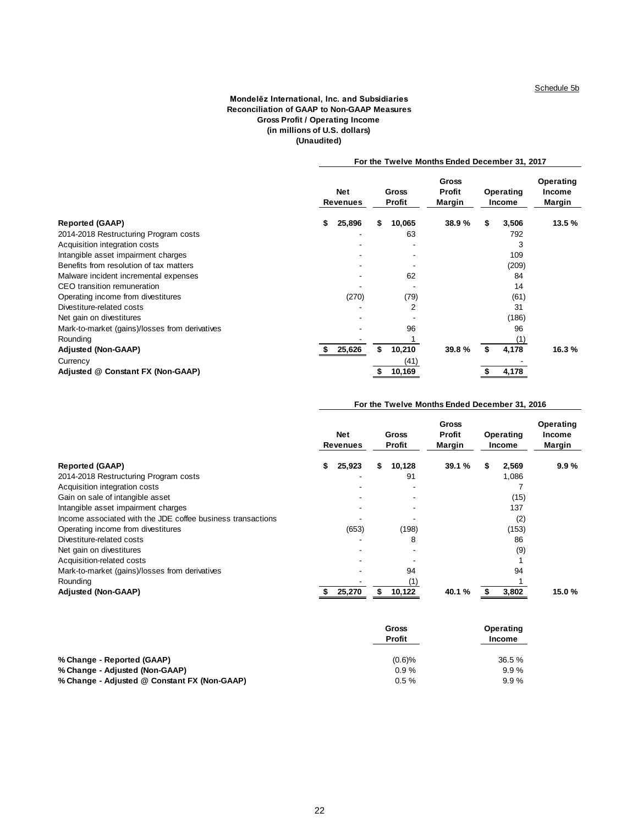Schedule 5b

#### **Mondelēz International, Inc. and Subsidiaries Reconciliation of GAAP to Non-GAAP Measures Gross Profit / Operating Income (in millions of U.S. dollars) (Unaudited)**

|                                                |   |                               |                        | For the Twelve Months Ended December 31, 2017 |                     |                               |
|------------------------------------------------|---|-------------------------------|------------------------|-----------------------------------------------|---------------------|-------------------------------|
|                                                |   | <b>Net</b><br><b>Revenues</b> | Gross<br><b>Profit</b> | <b>Gross</b><br>Profit<br>Margin              | Operating<br>Income | Operating<br>Income<br>Margin |
| <b>Reported (GAAP)</b>                         | S | 25,896                        | 10,065                 | 38.9%                                         | 3,506               | 13.5 %                        |
| 2014-2018 Restructuring Program costs          |   |                               | 63                     |                                               | 792                 |                               |
| Acquisition integration costs                  |   |                               |                        |                                               | 3                   |                               |
| Intangible asset impairment charges            |   |                               |                        |                                               | 109                 |                               |
| Benefits from resolution of tax matters        |   |                               |                        |                                               | (209)               |                               |
| Malware incident incremental expenses          |   |                               | 62                     |                                               | 84                  |                               |
| CEO transition remuneration                    |   |                               |                        |                                               | 14                  |                               |
| Operating income from divestitures             |   | (270)                         | (79)                   |                                               | (61)                |                               |
| Divestiture-related costs                      |   |                               | 2                      |                                               | 31                  |                               |
| Net gain on divestitures                       |   |                               |                        |                                               | (186)               |                               |
| Mark-to-market (gains)/losses from derivatives |   |                               | 96                     |                                               | 96                  |                               |
| Rounding                                       |   |                               |                        |                                               | (1)                 |                               |
| <b>Adjusted (Non-GAAP)</b>                     |   | 25,626                        | \$<br>10,210           | 39.8%                                         | 4,178               | 16.3 %                        |
| Currency                                       |   |                               | (41)                   |                                               |                     |                               |
| Adjusted @ Constant FX (Non-GAAP)              |   |                               | 10,169                 |                                               | 4,178               |                               |

#### **For the Twelve Months Ended December 31, 2016**

|                                                             |   | <b>Net</b><br><b>Revenues</b> |    | Gross<br>Profit | Gross<br>Profit<br>Margin | Operating<br><b>Income</b> | Operating<br><b>Income</b><br>Margin |
|-------------------------------------------------------------|---|-------------------------------|----|-----------------|---------------------------|----------------------------|--------------------------------------|
| <b>Reported (GAAP)</b>                                      | S | 25,923                        | S. | 10,128          | 39.1 %                    | 2,569                      | 9.9%                                 |
| 2014-2018 Restructuring Program costs                       |   |                               |    | 91              |                           | 1,086                      |                                      |
| Acquisition integration costs                               |   |                               |    |                 |                           |                            |                                      |
| Gain on sale of intangible asset                            |   |                               |    |                 |                           | (15)                       |                                      |
| Intangible asset impairment charges                         |   |                               |    |                 |                           | 137                        |                                      |
| Income associated with the JDE coffee business transactions |   |                               |    |                 |                           | (2)                        |                                      |
| Operating income from divestitures                          |   | (653)                         |    | (198)           |                           | (153)                      |                                      |
| Divestiture-related costs                                   |   |                               |    | 8               |                           | 86                         |                                      |
| Net gain on divestitures                                    |   |                               |    |                 |                           | (9)                        |                                      |
| Acquisition-related costs                                   |   |                               |    |                 |                           |                            |                                      |
| Mark-to-market (gains)/losses from derivatives              |   |                               |    | 94              |                           | 94                         |                                      |
| Rounding                                                    |   |                               |    |                 |                           |                            |                                      |
| <b>Adjusted (Non-GAAP)</b>                                  |   | 25,270                        |    | 10,122          | 40.1%                     | 3,802                      | 15.0 %                               |

|                                              | Gross<br>Profit | Operating<br>Income |
|----------------------------------------------|-----------------|---------------------|
| % Change - Reported (GAAP)                   | (0.6)%          | 36.5 %              |
| % Change - Adjusted (Non-GAAP)               | 0.9%            | 9.9%                |
| % Change - Adjusted @ Constant FX (Non-GAAP) | 0.5%            | 9.9%                |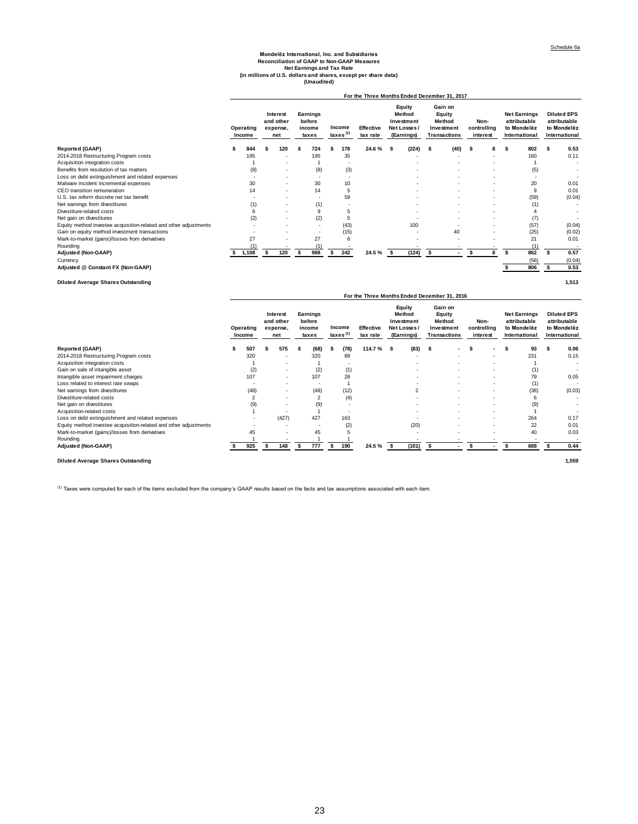#### **(in millions of U.S. dollars and shares, except per share data) Mondelēz International, Inc. and Subsidiaries Reconciliation of GAAP to Non-GAAP Measures Net Earnings and Tax Rate (Unaudited)**

| For the Three Months Ended December 31, 2017 |  |
|----------------------------------------------|--|
|----------------------------------------------|--|

|                                                                  | Operating<br>Income | Interest<br>and other<br>expense,<br>net | Earnings<br>before<br>income<br>taxes | Income<br>taxes <sup>(1)</sup> | Effective<br>tax rate |      | Equity<br>Method<br>Investment<br>Net Losses /<br>(Earnings) |    | Gain on<br>Equity<br>Method<br>Investment<br><b>Transactions</b> |   | Non-<br>controlling<br>interest |    | <b>Net Earnings</b><br>attributable<br>to Mondelez<br>International | <b>Diluted EPS</b><br>attributable<br>to Mondelez<br>International |
|------------------------------------------------------------------|---------------------|------------------------------------------|---------------------------------------|--------------------------------|-----------------------|------|--------------------------------------------------------------|----|------------------------------------------------------------------|---|---------------------------------|----|---------------------------------------------------------------------|--------------------------------------------------------------------|
| <b>Reported (GAAP)</b>                                           | 844                 | 120                                      | 724                                   | 178                            | 24.6%                 | - \$ | (224)                                                        | S  | (40)                                                             | s | 8                               | s  | 802                                                                 | 0.53                                                               |
| 2014-2018 Restructuring Program costs                            | 195                 |                                          | 195                                   | 35                             |                       |      |                                                              |    |                                                                  |   |                                 |    | 160                                                                 | 0.11                                                               |
| Acquisition integration costs                                    |                     |                                          |                                       |                                |                       |      |                                                              |    |                                                                  |   | $\overline{\phantom{a}}$        |    |                                                                     |                                                                    |
| Benefits from resolution of tax matters                          | (8)                 |                                          | (8)                                   | (3)                            |                       |      |                                                              |    |                                                                  |   |                                 |    | (5)                                                                 | ٠                                                                  |
| Loss on debt extinguishment and related expenses                 |                     |                                          |                                       |                                |                       |      |                                                              |    |                                                                  |   |                                 |    |                                                                     |                                                                    |
| Malware incident incremental expenses                            | 30                  |                                          | 30                                    | 10                             |                       |      |                                                              |    |                                                                  |   |                                 |    | 20                                                                  | 0.01                                                               |
| CEO transition remuneration                                      | 14                  |                                          | 14                                    | 5                              |                       |      |                                                              |    |                                                                  |   |                                 |    | 9                                                                   | 0.01                                                               |
| U.S. tax reform discrete net tax benefit                         |                     |                                          |                                       | 59                             |                       |      |                                                              |    |                                                                  |   |                                 |    | (59)                                                                | (0.04)                                                             |
| Net earnings from divestitures                                   | (1)                 |                                          | (1)                                   |                                |                       |      |                                                              |    |                                                                  |   |                                 |    | (1)                                                                 |                                                                    |
| Divestiture-related costs                                        |                     |                                          | 9                                     |                                |                       |      |                                                              |    |                                                                  |   | $\overline{\phantom{a}}$        |    |                                                                     |                                                                    |
| Net gain on divestitures                                         | (2)                 |                                          | (2)                                   |                                |                       |      |                                                              |    |                                                                  |   |                                 |    | (7)                                                                 |                                                                    |
| Equity method investee acquisition-related and other adjustments |                     |                                          |                                       | (43)                           |                       |      | 100                                                          |    |                                                                  |   | $\overline{\phantom{a}}$        |    | (57)                                                                | (0.04)                                                             |
| Gain on equity method investment transactions                    |                     |                                          |                                       | (15)                           |                       |      |                                                              |    | 40                                                               |   | ۰                               |    | (25)                                                                | (0.02)                                                             |
| Mark-to-market (gains)/losses from derivatives                   | 27                  |                                          | 27                                    |                                |                       |      |                                                              |    |                                                                  |   |                                 |    | 21                                                                  | 0.01                                                               |
| Rounding                                                         |                     |                                          |                                       |                                |                       |      |                                                              |    |                                                                  |   |                                 |    | (1)                                                                 |                                                                    |
| Adjusted (Non-GAAP)                                              | 1.108               | 120                                      | 988                                   | \$<br>242                      | 24.5%                 | S.   | (124)                                                        | -S |                                                                  |   | 8                               | \$ | 862                                                                 | 0.57                                                               |
| Currency                                                         |                     |                                          |                                       |                                |                       |      |                                                              |    |                                                                  |   |                                 |    | (56)                                                                | (0.04)                                                             |
| Adjusted @ Constant FX (Non-GAAP)                                |                     |                                          |                                       |                                |                       |      |                                                              |    |                                                                  |   |                                 |    | 806                                                                 | 0.53                                                               |
|                                                                  |                     |                                          |                                       |                                |                       |      |                                                              |    |                                                                  |   |                                 |    |                                                                     |                                                                    |

#### **Diluted Average Shares Outstanding 1,513**

|                                                                  |                     |   |                                          |                                       |    |                                | For the Three Months Ended December 31, 2016 |      |                                                              |                                                                  |                                 |   |                                                                     |                                                                    |
|------------------------------------------------------------------|---------------------|---|------------------------------------------|---------------------------------------|----|--------------------------------|----------------------------------------------|------|--------------------------------------------------------------|------------------------------------------------------------------|---------------------------------|---|---------------------------------------------------------------------|--------------------------------------------------------------------|
|                                                                  | Operating<br>Income |   | Interest<br>and other<br>expense,<br>net | Earnings<br>before<br>income<br>taxes |    | Income<br>taxes <sup>(1)</sup> | Effective<br>tax rate                        |      | Equity<br>Method<br>Investment<br>Net Losses /<br>(Earnings) | Gain on<br>Equity<br>Method<br>Investment<br><b>Transactions</b> | Non-<br>controlling<br>interest |   | <b>Net Earnings</b><br>attributable<br>to Mondelēz<br>International | <b>Diluted EPS</b><br>attributable<br>to Mondelez<br>International |
| <b>Reported (GAAP)</b>                                           | 507                 | ж | 575                                      | (68)                                  | 5  | (78)                           | 114.7%                                       | - \$ | (83)                                                         | \$                                                               |                                 | s | 93                                                                  | 0.06                                                               |
| 2014-2018 Restructuring Program costs                            | 320                 |   |                                          | 320                                   |    | 89                             |                                              |      |                                                              |                                                                  |                                 |   | 231                                                                 | 0.15                                                               |
| Acquisition integration costs                                    |                     |   |                                          |                                       |    |                                |                                              |      |                                                              |                                                                  | $\overline{\phantom{a}}$        |   |                                                                     |                                                                    |
| Gain on sale of intangible asset                                 | (2)                 |   | $\overline{\phantom{a}}$                 | (2)                                   |    | (1)                            |                                              |      |                                                              |                                                                  | ٠                               |   | (1)                                                                 |                                                                    |
| Intangible asset impairment charges                              | 107                 |   | $\overline{\phantom{a}}$                 | 107                                   |    | 28                             |                                              |      |                                                              |                                                                  | ٠                               |   | 79                                                                  | 0.05                                                               |
| Loss related to interest rate swaps                              |                     |   |                                          | ٠                                     |    |                                |                                              |      |                                                              |                                                                  | ٠                               |   | (1)                                                                 |                                                                    |
| Net earnings from divestitures                                   | (48)                |   | $\overline{\phantom{a}}$                 | (48)                                  |    | (12)                           |                                              |      |                                                              |                                                                  |                                 |   | (38)                                                                | (0.03)                                                             |
| Divestiture-related costs                                        |                     |   | $\overline{\phantom{a}}$                 |                                       |    | (4)                            |                                              |      |                                                              | $\overline{\phantom{a}}$                                         |                                 |   | ĥ                                                                   |                                                                    |
| Net gain on divestitures                                         | (9)                 |   |                                          | (9)                                   |    |                                |                                              |      |                                                              |                                                                  |                                 |   | (9)                                                                 |                                                                    |
| Acquisition-related costs                                        |                     |   |                                          |                                       |    |                                |                                              |      |                                                              |                                                                  |                                 |   |                                                                     |                                                                    |
| Loss on debt extinguishment and related expenses                 |                     |   | (427)                                    | 427                                   |    | 163                            |                                              |      |                                                              |                                                                  |                                 |   | 264                                                                 | 0.17                                                               |
| Equity method investee acquisition-related and other adjustments |                     |   |                                          |                                       |    | (2)                            |                                              |      | (20)                                                         |                                                                  | ۰.                              |   | 22                                                                  | 0.01                                                               |
| Mark-to-market (gains)/losses from derivatives                   | 45                  |   |                                          | 45                                    |    |                                |                                              |      |                                                              |                                                                  |                                 |   | 40                                                                  | 0.03                                                               |
| Rounding                                                         |                     |   |                                          |                                       |    |                                |                                              |      |                                                              |                                                                  |                                 |   |                                                                     |                                                                    |
| Adjusted (Non-GAAP)                                              | 925                 |   | 148                                      | 777                                   | \$ | 190                            | 24.5%                                        |      | (101)                                                        |                                                                  |                                 |   | 688                                                                 | 0.44                                                               |
| <b>Diluted Average Shares Outstanding</b>                        |                     |   |                                          |                                       |    |                                |                                              |      |                                                              |                                                                  |                                 |   |                                                                     | 1,559                                                              |

(1) Taxes were computed for each of the items excluded from the company's GAAP results based on the facts and tax assumptions associated with each item.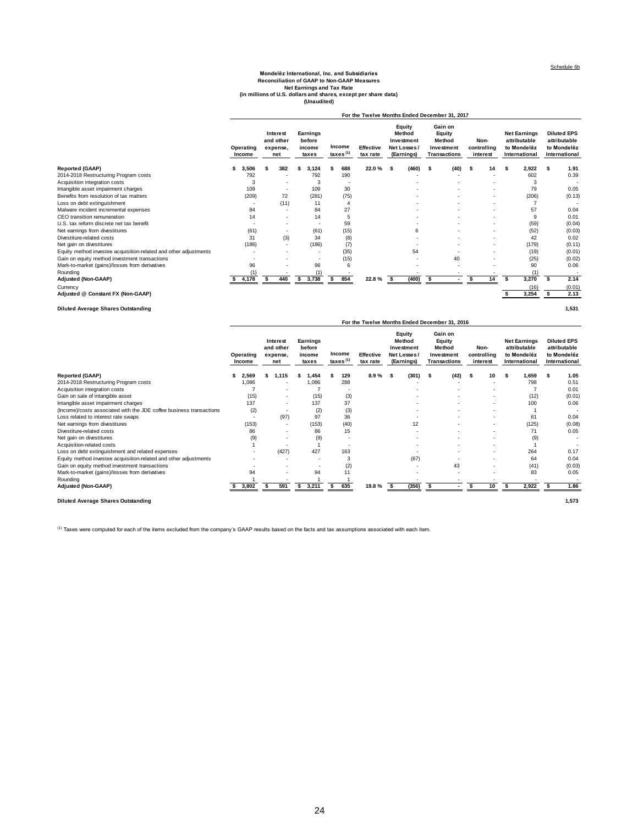# Mondelĕz International, Inc. and Subsidiaries<br>Reconciliation of GAAP to Non-GAAP Measures<br>(in millions of U.S. dollars and Shares, except per share data)<br>(in millions of U.S. dollars and shares, except per share data)

|                                                                  |                     |                                          |                                       |                       | For the Twelve Months Ended December 31, 2017 |        |                                                              |                                                                  |      |   |                                 |    |                                                                     |                                                                    |
|------------------------------------------------------------------|---------------------|------------------------------------------|---------------------------------------|-----------------------|-----------------------------------------------|--------|--------------------------------------------------------------|------------------------------------------------------------------|------|---|---------------------------------|----|---------------------------------------------------------------------|--------------------------------------------------------------------|
|                                                                  | Operating<br>Income | Interest<br>and other<br>expense,<br>net | Earnings<br>before<br>income<br>taxes | Income<br>taxes $(1)$ | <b>Effective</b><br>tax rate                  |        | Equity<br>Method<br>Investment<br>Net Losses /<br>(Earnings) | Gain on<br>Equity<br>Method<br>Investment<br><b>Transactions</b> |      |   | Non-<br>controlling<br>interest |    | <b>Net Earnings</b><br>attributable<br>to Mondelez<br>International | <b>Diluted EPS</b><br>attributable<br>to Mondelez<br>International |
| <b>Reported (GAAP)</b>                                           | 3,506               | 382                                      | 3.124                                 | 688                   | 22.0%                                         | $\sim$ | (460)                                                        | s                                                                | (40) | s | 14                              | -S | 2,922                                                               | 1.91                                                               |
| 2014-2018 Restructuring Program costs                            | 792                 |                                          | 792                                   | 190                   |                                               |        |                                                              |                                                                  |      |   | $\overline{\phantom{a}}$        |    | 602                                                                 | 0.39                                                               |
| Acquisition integration costs                                    | 3                   | ٠                                        | 3                                     |                       |                                               |        |                                                              |                                                                  |      |   | $\overline{\phantom{a}}$        |    | 3                                                                   |                                                                    |
| Intangible asset impairment charges                              | 109                 | $\overline{\phantom{a}}$                 | 109                                   | 30                    |                                               |        |                                                              |                                                                  |      |   | $\overline{\phantom{a}}$        |    | 79                                                                  | 0.05                                                               |
| Benefits from resolution of tax matters                          | (209)               | 72                                       | (281)                                 | (75)                  |                                               |        |                                                              |                                                                  |      |   | $\overline{\phantom{a}}$        |    | (206)                                                               | (0.13)                                                             |
| Loss on debt extinguishment                                      |                     | (11)                                     | 11                                    |                       |                                               |        |                                                              |                                                                  |      |   | $\overline{\phantom{a}}$        |    |                                                                     |                                                                    |
| Malware incident incremental expenses                            | 84                  | ٠                                        | 84                                    | 27                    |                                               |        |                                                              |                                                                  |      |   | $\overline{\phantom{a}}$        |    | 57                                                                  | 0.04                                                               |
| CEO transition remuneration                                      | 14                  | ٠                                        | 14                                    | 5                     |                                               |        |                                                              |                                                                  |      |   | $\overline{\phantom{a}}$        |    | 9                                                                   | 0.01                                                               |
| U.S. tax reform discrete net tax benefit                         |                     |                                          |                                       | 59                    |                                               |        |                                                              |                                                                  |      |   | $\overline{\phantom{a}}$        |    | (59)                                                                | (0.04)                                                             |
| Net earnings from divestitures                                   | (61)                | ٠                                        | (61)                                  | (15)                  |                                               |        | 6                                                            |                                                                  |      |   | $\overline{\phantom{a}}$        |    | (52)                                                                | (0.03)                                                             |
| Divestiture-related costs                                        | 31                  | (3)                                      | 34                                    | (8)                   |                                               |        |                                                              |                                                                  |      |   | $\overline{\phantom{a}}$        |    | 42                                                                  | 0.02                                                               |
| Net gain on divestitures                                         | (186)               | $\blacksquare$                           | (186)                                 | (7)                   |                                               |        |                                                              |                                                                  |      |   | $\overline{\phantom{a}}$        |    | (179)                                                               | (0.11)                                                             |
| Equity method investee acquisition-related and other adjustments |                     |                                          |                                       | (35)                  |                                               |        | 54                                                           |                                                                  |      |   | $\overline{\phantom{a}}$        |    | (19)                                                                | (0.01)                                                             |
| Gain on equity method investment transactions                    |                     |                                          |                                       | (15)                  |                                               |        |                                                              |                                                                  | 40   |   | ٠                               |    | (25)                                                                | (0.02)                                                             |
| Mark-to-market (gains)/losses from derivatives                   | 96                  |                                          | 96                                    | 6                     |                                               |        |                                                              |                                                                  |      |   |                                 |    | 90                                                                  | 0.06                                                               |
| Rounding                                                         |                     |                                          |                                       |                       |                                               |        |                                                              |                                                                  |      |   |                                 |    | (1)                                                                 |                                                                    |
| Adjusted (Non-GAAP)                                              | 4,178               | 440                                      | 3,738<br>s                            | 854<br>\$             | 22.8%                                         | - \$   | (400)                                                        |                                                                  |      |   | 14                              | \$ | 3,270                                                               | 2.14                                                               |
| Currency                                                         |                     |                                          |                                       |                       |                                               |        |                                                              |                                                                  |      |   |                                 |    | (16)                                                                | (0.01)                                                             |
| Adjusted @ Constant FX (Non-GAAP)                                |                     |                                          |                                       |                       |                                               |        |                                                              |                                                                  |      |   |                                 |    | 3.254                                                               | 2.13                                                               |

**Diluted Average Shares Outstanding 1,531**

|                                                                     |                     |                                          |                                       |                                | For the Twelve Months Ended December 31, 2016 |     |                                                              |                                 |                               |   |                                 |    |                                                                     |   |                                                                    |
|---------------------------------------------------------------------|---------------------|------------------------------------------|---------------------------------------|--------------------------------|-----------------------------------------------|-----|--------------------------------------------------------------|---------------------------------|-------------------------------|---|---------------------------------|----|---------------------------------------------------------------------|---|--------------------------------------------------------------------|
|                                                                     | Operating<br>Income | Interest<br>and other<br>expense,<br>net | Earnings<br>before<br>income<br>taxes | Income<br>taxes <sup>(1)</sup> | Effective<br>tax rate                         |     | Equity<br>Method<br>Investment<br>Net Losses /<br>(Earnings) | Gain on<br>Method<br>Investment | Equity<br><b>Transactions</b> |   | Non-<br>controlling<br>interest |    | <b>Net Earnings</b><br>attributable<br>to Mondelez<br>International |   | <b>Diluted EPS</b><br>attributable<br>to Mondelez<br>International |
| <b>Reported (GAAP)</b>                                              | 2,569<br>s          | 1.115<br>s.                              | 1.454                                 | 129                            | 8.9%                                          | -S  | (301)                                                        | S                               | (43)                          | s | 10                              | -S | 1,659                                                               | Ŝ | 1.05                                                               |
| 2014-2018 Restructuring Program costs                               | 1,086               |                                          | 1,086                                 | 288                            |                                               |     |                                                              |                                 |                               |   |                                 |    | 798                                                                 |   | 0.51                                                               |
| Acquisition integration costs                                       |                     |                                          |                                       |                                |                                               |     |                                                              |                                 |                               |   |                                 |    |                                                                     |   | 0.01                                                               |
| Gain on sale of intangible asset                                    | (15)                | $\blacksquare$                           | (15)                                  | (3)                            |                                               |     |                                                              |                                 | $\overline{\phantom{a}}$      |   | $\overline{\phantom{a}}$        |    | (12)                                                                |   | (0.01)                                                             |
| Intangible asset impairment charges                                 | 137                 | $\overline{\phantom{a}}$                 | 137                                   | 37                             |                                               |     |                                                              |                                 |                               |   | $\overline{\phantom{a}}$        |    | 100                                                                 |   | 0.06                                                               |
| (Income)/costs associated with the JDE coffee business transactions | (2)                 |                                          | (2)                                   | (3)                            |                                               |     |                                                              |                                 |                               |   |                                 |    |                                                                     |   |                                                                    |
| Loss related to interest rate swaps                                 |                     | (97)                                     | 97                                    | 36                             |                                               |     |                                                              |                                 |                               |   | $\overline{\phantom{a}}$        |    | 61                                                                  |   | 0.04                                                               |
| Net earnings from divestitures                                      | (153)               | $\overline{\phantom{a}}$                 | (153)                                 | (40)                           |                                               |     | 12                                                           |                                 |                               |   | ٠                               |    | (125)                                                               |   | (0.08)                                                             |
| Divestiture-related costs                                           | 86                  |                                          | 86                                    | 15                             |                                               |     |                                                              |                                 |                               |   | ۰                               |    | 71                                                                  |   | 0.05                                                               |
| Net gain on divestitures                                            | (9)                 |                                          | (9)                                   |                                |                                               |     |                                                              |                                 |                               |   |                                 |    | (9)                                                                 |   |                                                                    |
| Acquisition-related costs                                           |                     |                                          |                                       |                                |                                               |     |                                                              |                                 |                               |   |                                 |    |                                                                     |   |                                                                    |
| Loss on debt extinguishment and related expenses                    |                     | (427)                                    | 427                                   | 163                            |                                               |     |                                                              |                                 |                               |   |                                 |    | 264                                                                 |   | 0.17                                                               |
| Equity method investee acquisition-related and other adjustments    |                     |                                          |                                       | 3                              |                                               |     | (67)                                                         |                                 |                               |   |                                 |    | 64                                                                  |   | 0.04                                                               |
| Gain on equity method investment transactions                       |                     |                                          |                                       | (2)                            |                                               |     |                                                              |                                 | 43                            |   |                                 |    | (41)                                                                |   | (0.03)                                                             |
| Mark-to-market (gains)/losses from derivatives                      | 94                  |                                          | 94                                    | 11                             |                                               |     |                                                              |                                 |                               |   |                                 |    | 83                                                                  |   | 0.05                                                               |
| Rounding                                                            |                     |                                          |                                       |                                |                                               |     |                                                              |                                 |                               |   |                                 |    |                                                                     |   |                                                                    |
| Adjusted (Non-GAAP)                                                 | \$3,802             | 591                                      | 3,211<br>s                            | 635<br>s.                      | 19.8%                                         | \$. | (356)                                                        | \$                              |                               |   | 10                              | \$ | 2,922                                                               |   | 1.86                                                               |
| <b>Diluted Average Shares Outstanding</b>                           |                     |                                          |                                       |                                |                                               |     |                                                              |                                 |                               |   |                                 |    |                                                                     |   | 1,573                                                              |

(1) Taxes were computed for each of the items excluded from the company's GAAP results based on the facts and tax assumptions associated with each item.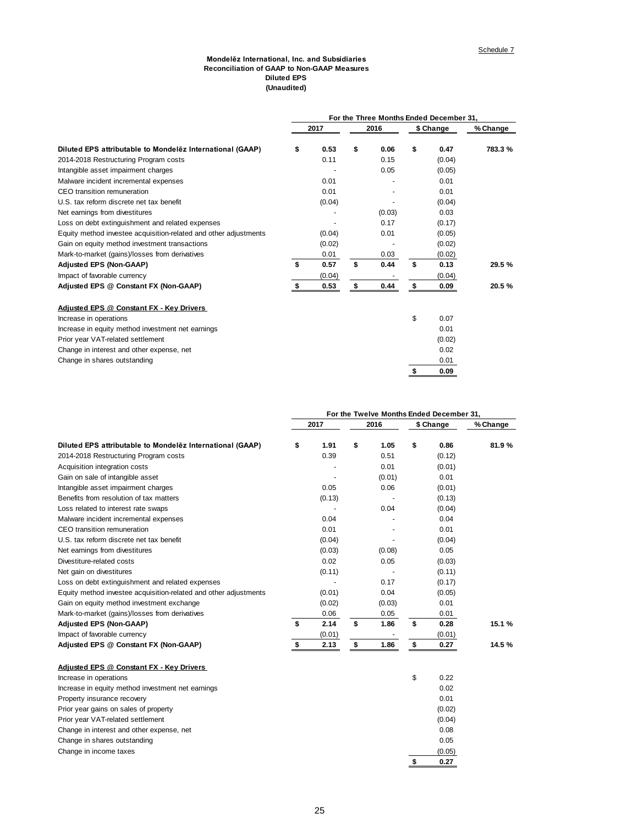#### **Mondelēz International, Inc. and Subsidiaries Reconciliation of GAAP to Non-GAAP Measures Diluted EPS (Unaudited)**

|                                                                  |            | For the Three Months Ended December 31, |            |          |
|------------------------------------------------------------------|------------|-----------------------------------------|------------|----------|
|                                                                  | 2017       | 2016                                    | \$ Change  | % Change |
| Diluted EPS attributable to Mondelez International (GAAP)        | \$<br>0.53 | \$<br>0.06                              | \$<br>0.47 | 783.3%   |
| 2014-2018 Restructuring Program costs                            | 0.11       | 0.15                                    | (0.04)     |          |
| Intangible asset impairment charges                              |            | 0.05                                    | (0.05)     |          |
| Malware incident incremental expenses                            | 0.01       |                                         | 0.01       |          |
| CEO transition remuneration                                      | 0.01       |                                         | 0.01       |          |
| U.S. tax reform discrete net tax benefit                         | (0.04)     |                                         | (0.04)     |          |
| Net earnings from divestitures                                   |            | (0.03)                                  | 0.03       |          |
| Loss on debt extinguishment and related expenses                 |            | 0.17                                    | (0.17)     |          |
| Equity method investee acquisition-related and other adjustments | (0.04)     | 0.01                                    | (0.05)     |          |
| Gain on equity method investment transactions                    | (0.02)     |                                         | (0.02)     |          |
| Mark-to-market (gains)/losses from derivatives                   | 0.01       | 0.03                                    | (0.02)     |          |
| <b>Adjusted EPS (Non-GAAP)</b>                                   | \$<br>0.57 | \$<br>0.44                              | \$<br>0.13 | 29.5 %   |
| Impact of favorable currency                                     | (0.04)     |                                         | (0.04)     |          |
| Adjusted EPS @ Constant FX (Non-GAAP)                            | 0.53       | \$<br>0.44                              | \$<br>0.09 | 20.5 %   |
| Adjusted EPS @ Constant FX - Key Drivers                         |            |                                         |            |          |
| Increase in operations                                           |            |                                         | \$<br>0.07 |          |
| Increase in equity method investment net earnings                |            |                                         | 0.01       |          |
| Prior year VAT-related settlement                                |            |                                         | (0.02)     |          |
| Change in interest and other expense, net                        |            |                                         | 0.02       |          |
| Change in shares outstanding                                     |            |                                         | 0.01       |          |
|                                                                  |            |                                         | \$<br>0.09 |          |

|                                                                  |            |            |               | For the Twelve Months Ended December 31, |          |
|------------------------------------------------------------------|------------|------------|---------------|------------------------------------------|----------|
|                                                                  | 2017       | 2016       |               | \$ Change                                | % Change |
| Diluted EPS attributable to Mondelez International (GAAP)        | \$<br>1.91 | \$<br>1.05 | \$            | 0.86                                     | 81.9%    |
| 2014-2018 Restructuring Program costs                            | 0.39       | 0.51       |               | (0.12)                                   |          |
| Acquisition integration costs                                    |            | 0.01       |               | (0.01)                                   |          |
| Gain on sale of intangible asset                                 |            | (0.01)     |               | 0.01                                     |          |
| Intangible asset impairment charges                              | 0.05       | 0.06       |               | (0.01)                                   |          |
| Benefits from resolution of tax matters                          | (0.13)     |            |               | (0.13)                                   |          |
| Loss related to interest rate swaps                              |            | 0.04       |               | (0.04)                                   |          |
| Malware incident incremental expenses                            | 0.04       |            |               | 0.04                                     |          |
| CEO transition remuneration                                      | 0.01       |            |               | 0.01                                     |          |
| U.S. tax reform discrete net tax benefit                         | (0.04)     |            |               | (0.04)                                   |          |
| Net earnings from divestitures                                   | (0.03)     | (0.08)     |               | 0.05                                     |          |
| Divestiture-related costs                                        | 0.02       | 0.05       |               | (0.03)                                   |          |
| Net gain on divestitures                                         | (0.11)     |            |               | (0.11)                                   |          |
| Loss on debt extinguishment and related expenses                 |            | 0.17       |               | (0.17)                                   |          |
| Equity method investee acquisition-related and other adjustments | (0.01)     | 0.04       |               | (0.05)                                   |          |
| Gain on equity method investment exchange                        | (0.02)     | (0.03)     |               | 0.01                                     |          |
| Mark-to-market (gains)/losses from derivatives                   | 0.06       | 0.05       |               | 0.01                                     |          |
| Adjusted EPS (Non-GAAP)                                          | \$<br>2.14 | \$<br>1.86 | \$            | 0.28                                     | 15.1 %   |
| Impact of favorable currency                                     | (0.01)     |            |               | (0.01)                                   |          |
| Adjusted EPS @ Constant FX (Non-GAAP)                            | \$<br>2.13 | \$<br>1.86 | $\frac{1}{2}$ | 0.27                                     | 14.5 %   |
| Adjusted EPS @ Constant FX - Key Drivers                         |            |            |               |                                          |          |
| Increase in operations                                           |            |            | \$            | 0.22                                     |          |
| Increase in equity method investment net earnings                |            |            |               | 0.02                                     |          |
| Property insurance recovery                                      |            |            |               | 0.01                                     |          |
| Prior year gains on sales of property                            |            |            |               | (0.02)                                   |          |
| Prior year VAT-related settlement                                |            |            |               | (0.04)                                   |          |
| Change in interest and other expense, net                        |            |            |               | 0.08                                     |          |
| Change in shares outstanding                                     |            |            |               | 0.05                                     |          |
| Change in income taxes                                           |            |            |               | (0.05)                                   |          |
|                                                                  |            |            | \$            | 0.27                                     |          |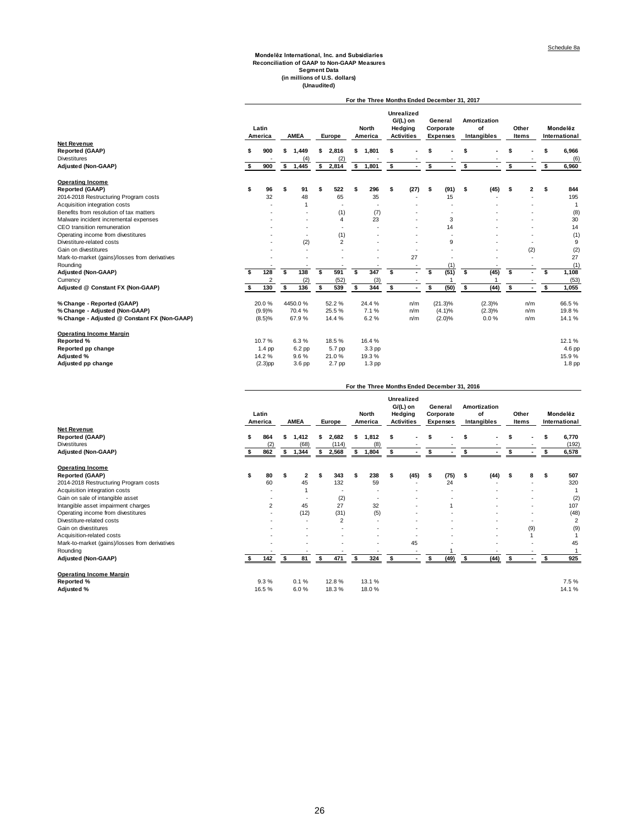# Mondelēz International, Inc. and Subsidiaries<br> **Reconciliation of GAAP to Non-GAAP Measures**<br>
Segment Data<br>
(in millions of U.S. dollars)<br>
(Unaudited)

|                                                |                  |            |                |                | For the Three Months Ended December 31, 2017 |                         |                                                                 |    |                                         |    |                                   |    |                |    |                           |
|------------------------------------------------|------------------|------------|----------------|----------------|----------------------------------------------|-------------------------|-----------------------------------------------------------------|----|-----------------------------------------|----|-----------------------------------|----|----------------|----|---------------------------|
|                                                | Latin<br>America |            | <b>AMEA</b>    | Europe         | <b>North</b><br>America                      |                         | <b>Unrealized</b><br>$G/(L)$ on<br>Hedging<br><b>Activities</b> |    | General<br>Corporate<br><b>Expenses</b> |    | Amortization<br>of<br>Intangibles |    | Other<br>Items |    | Mondelēz<br>International |
| Net Revenue                                    |                  |            |                |                |                                              |                         |                                                                 |    |                                         |    |                                   |    |                |    |                           |
| <b>Reported (GAAP)</b>                         | S                | 900        | \$<br>1.449    | \$<br>2,816    | \$<br>1.801                                  | s                       |                                                                 |    |                                         | S  |                                   | Ŝ  |                | \$ | 6,966                     |
| <b>Divestitures</b>                            |                  |            | \$<br>(4)      | (2)            |                                              | $\overline{\mathbf{s}}$ |                                                                 | s  |                                         | s  |                                   | s  |                | \$ | (6)                       |
| Adjusted (Non-GAAP)                            | s.               | 900        | 1,445          | \$ 2,814       | \$ 1,801                                     |                         |                                                                 |    |                                         |    |                                   |    |                |    | 6,960                     |
| <b>Operating Income</b>                        |                  |            |                |                |                                              |                         |                                                                 |    |                                         |    |                                   |    |                |    |                           |
| <b>Reported (GAAP)</b>                         | \$               | 96         | \$<br>91       | \$<br>522      | \$<br>296                                    | \$                      | (27)                                                            | \$ | (91)                                    | \$ | (45)                              | \$ | 2              | \$ | 844                       |
| 2014-2018 Restructuring Program costs          |                  | 32         | 48             | 65             | 35                                           |                         |                                                                 |    | 15                                      |    |                                   |    |                |    | 195                       |
| Acquisition integration costs                  |                  |            | $\overline{1}$ |                |                                              |                         |                                                                 |    |                                         |    |                                   |    |                |    | $\overline{1}$            |
| Benefits from resolution of tax matters        |                  |            |                | (1)            | (7)                                          |                         |                                                                 |    |                                         |    |                                   |    |                |    | (8)                       |
| Malware incident incremental expenses          |                  |            |                | $\overline{4}$ | 23                                           |                         |                                                                 |    | 3                                       |    |                                   |    |                |    | 30                        |
| CEO transition remuneration                    |                  |            |                |                |                                              |                         |                                                                 |    | 14                                      |    |                                   |    |                |    | 14                        |
| Operating income from divestitures             |                  |            |                | (1)            |                                              |                         |                                                                 |    |                                         |    |                                   |    |                |    | (1)                       |
| Divestiture-related costs                      |                  |            | (2)            | $\overline{2}$ |                                              |                         |                                                                 |    | 9                                       |    |                                   |    |                |    | 9                         |
| Gain on divestitures                           |                  |            |                |                |                                              |                         |                                                                 |    |                                         |    |                                   |    | (2)            |    | (2)                       |
| Mark-to-market (gains)/losses from derivatives |                  |            |                |                |                                              |                         | 27                                                              |    |                                         |    |                                   |    |                |    | 27                        |
| Roundina                                       |                  |            |                |                |                                              |                         |                                                                 |    | (1)                                     |    |                                   |    |                |    | (1)                       |
| Adjusted (Non-GAAP)                            | ŝ.               | 128        | \$<br>138      | \$<br>591      | \$<br>347                                    | \$                      | $\sim$                                                          | s  | (51)                                    | \$ | (45)                              | \$ |                | s. | 1,108                     |
| Currency                                       |                  | 2          | (2)            | (52)           | (3)                                          |                         |                                                                 |    |                                         |    |                                   |    |                |    | (53)                      |
| Adjusted @ Constant FX (Non-GAAP)              | s.               | 130        | \$<br>136      | \$<br>539      | \$<br>344                                    | \$                      | $\overline{\phantom{a}}$                                        | \$ | (50)                                    | \$ | (44)                              | \$ |                | s. | 1,055                     |
| % Change - Reported (GAAP)                     |                  | 20.0%      | 4450.0%        | 52.2%          | 24.4%                                        |                         | n/m                                                             |    | $(21.3)\%$                              |    | $(2.3)\%$                         |    | n/m            |    | 66.5%                     |
| % Change - Adjusted (Non-GAAP)                 |                  | (9.9)%     | 70.4%          | 25.5%          | 7.1%                                         |                         | n/m                                                             |    | (4.1)%                                  |    | $(2.3)\%$                         |    | n/m            |    | 19.8%                     |
| % Change - Adjusted @ Constant FX (Non-GAAP)   |                  | $(8.5)\%$  | 67.9%          | 14.4 %         | 6.2%                                         |                         | n/m                                                             |    | (2.0)%                                  |    | 0.0%                              |    | n/m            |    | 14.1%                     |
| <b>Operating Income Margin</b>                 |                  |            |                |                |                                              |                         |                                                                 |    |                                         |    |                                   |    |                |    |                           |
| Reported %                                     |                  | 10.7%      | 6.3%           | 18.5%          | 16.4 %                                       |                         |                                                                 |    |                                         |    |                                   |    |                |    | 12.1 %                    |
| Reported pp change                             |                  | 1.4 pp     | 6.2 pp         | 5.7 pp         | 3.3 pp                                       |                         |                                                                 |    |                                         |    |                                   |    |                |    | 4.6 pp                    |
| Adjusted %                                     |                  | 14.2%      | 9.6%           | 21.0%          | 19.3 %                                       |                         |                                                                 |    |                                         |    |                                   |    |                |    | 15.9%                     |
| Adjusted pp change                             |                  | $(2.3)$ pp | 3.6 pp         | 2.7 pp         | 1.3 pp                                       |                         |                                                                 |    |                                         |    |                                   |    |                |    | 1.8 pp                    |
|                                                |                  |            |                |                |                                              |                         |                                                                 |    |                                         |    |                                   |    |                |    |                           |

|                                                | Latin<br>America |    | <b>AMEA</b>    | Europe                   | North<br>America |    | <b>Unrealized</b><br>$G/(L)$ on<br>Hedging<br><b>Activities</b> |    | General<br>Corporate<br><b>Expenses</b> |    | Amortization<br>of<br>Intangibles |    | Other<br><b>Items</b> |    | Mondelēz<br>International |
|------------------------------------------------|------------------|----|----------------|--------------------------|------------------|----|-----------------------------------------------------------------|----|-----------------------------------------|----|-----------------------------------|----|-----------------------|----|---------------------------|
| <b>Net Revenue</b>                             | \$<br>864        | \$ | 1,412          | \$<br>2,682              | \$<br>1,812      | s. |                                                                 | s  |                                         | S  | ٠                                 | \$ |                       |    | 6,770                     |
| <b>Reported (GAAP)</b><br><b>Divestitures</b>  | (2)              |    | (68)           | (114)                    | (8)              |    |                                                                 |    |                                         |    |                                   |    |                       | S  | (192)                     |
| Adjusted (Non-GAAP)                            | 862              | S  | 1,344          | \$<br>2,568              | \$<br>1,804      | Ŝ  | ٠                                                               |    | $\overline{\phantom{a}}$                | \$ | $\overline{\phantom{a}}$          | \$ | $\blacksquare$        | S. | 6,578                     |
|                                                |                  |    |                |                          |                  |    |                                                                 |    |                                         |    |                                   |    |                       |    |                           |
| Operating Income                               |                  |    |                |                          |                  |    |                                                                 |    |                                         |    |                                   |    |                       |    |                           |
| <b>Reported (GAAP)</b>                         | \$<br>80         | \$ | $\overline{2}$ | \$<br>343                | \$<br>238        | \$ | (45)                                                            | s. | (75)                                    | \$ | (44)                              | \$ | 8                     | Ŝ. | 507                       |
| 2014-2018 Restructuring Program costs          | 60               |    | 45             | 132                      | 59               |    |                                                                 |    | 24                                      |    | $\overline{a}$                    |    |                       |    | 320                       |
| Acquisition integration costs                  |                  |    |                |                          |                  |    | ٠                                                               |    | $\overline{a}$                          |    |                                   |    |                       |    |                           |
| Gain on sale of intangible asset               |                  |    |                | (2)                      |                  |    | $\overline{a}$                                                  |    |                                         |    |                                   |    |                       |    | (2)                       |
| Intangible asset impairment charges            | $\overline{2}$   |    | 45             | 27                       | 32               |    | ٠                                                               |    | $\mathbf{1}$                            |    |                                   |    |                       |    | 107                       |
| Operating income from divestitures             |                  |    | (12)           | (31)                     | (5)              |    |                                                                 |    |                                         |    |                                   |    |                       |    | (48)                      |
| Divestiture-related costs                      |                  |    |                | 2                        |                  |    |                                                                 |    |                                         |    |                                   |    |                       |    | $\overline{2}$            |
| Gain on divestitures                           |                  |    |                | $\overline{\phantom{a}}$ | ٠                |    | ٠                                                               |    |                                         |    | ٠                                 |    | (9)                   |    | (9)                       |
| Acquisition-related costs                      |                  |    |                | ٠                        |                  |    | ٠                                                               |    |                                         |    | ٠                                 |    |                       |    |                           |
| Mark-to-market (gains)/losses from derivatives |                  |    |                |                          |                  |    | 45                                                              |    |                                         |    |                                   |    |                       |    | 45                        |
| Rounding                                       |                  |    |                |                          |                  |    |                                                                 |    |                                         |    |                                   |    |                       |    |                           |
| Adjusted (Non-GAAP)                            | 142              |    | 81             | \$<br>471                | 324              |    |                                                                 |    | (49)                                    | \$ | (44)                              | S  |                       |    | 925                       |
| <b>Operating Income Margin</b>                 |                  |    |                |                          |                  |    |                                                                 |    |                                         |    |                                   |    |                       |    |                           |
| Reported %                                     | 9.3%             |    | 0.1%           | 12.8%                    | 13.1 %           |    |                                                                 |    |                                         |    |                                   |    |                       |    | 7.5%                      |
| Adjusted %                                     | 16.5%            |    | 6.0%           | 18.3%                    | 18.0%            |    |                                                                 |    |                                         |    |                                   |    |                       |    | 14.1%                     |

**For the Three Months Ended December 31, 2016**